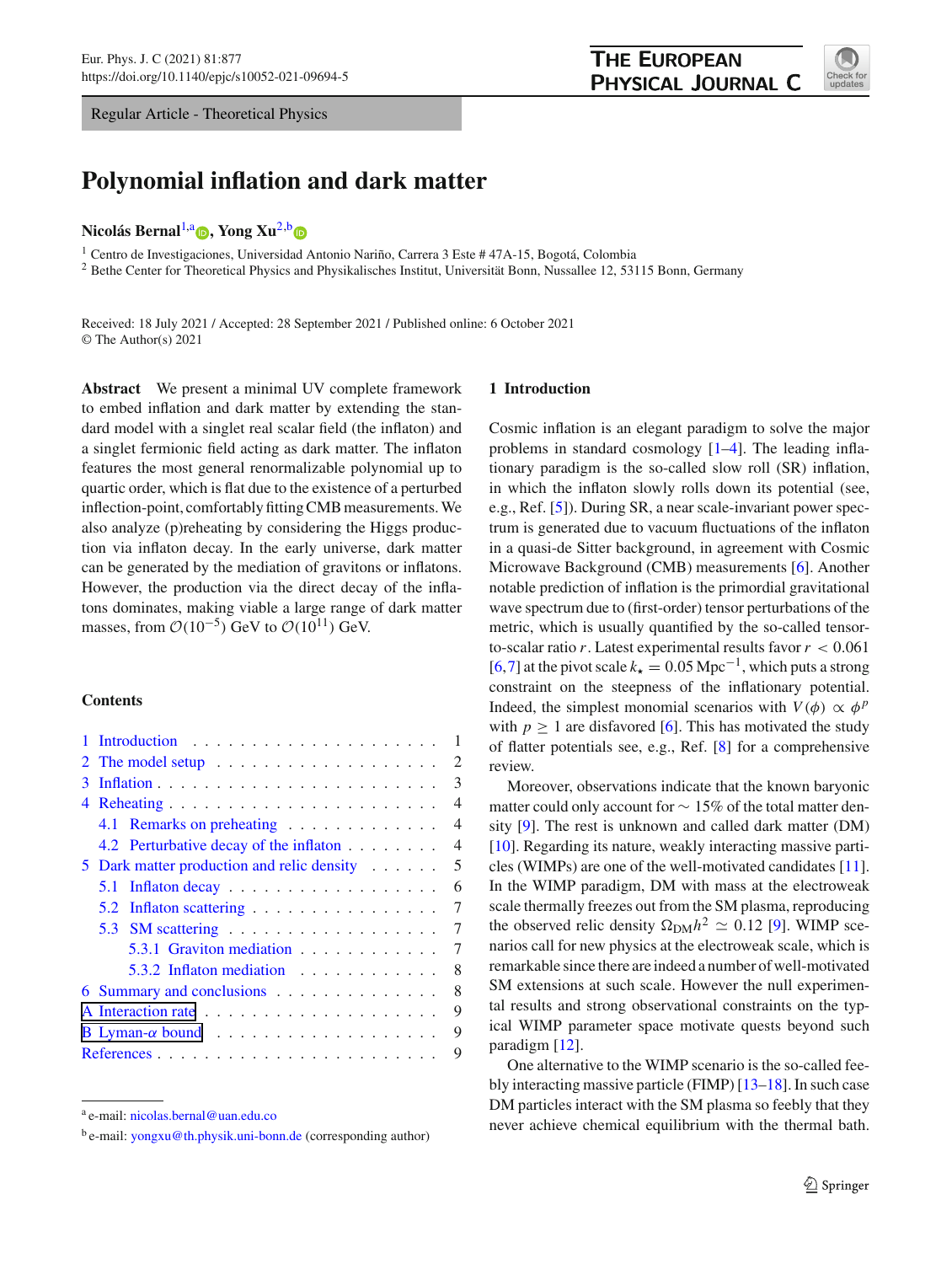Regular Article - Theoretical Physics

# <span id="page-0-0"></span>PHYSICAL JOURNAL C

**THE EUROPEAN** 



# **Polynomial inflation and dark matter**

#### **Nicolás Bernal<sup>[1,](#page-0-0)a</sup> <[b](http://orcid.org/0000-0002-4582-8747)>D**[,](http://orcid.org/0000-0003-1069-490X) Yong Xu<sup>[2,](#page-0-0)b</sup> D

<sup>1</sup> Centro de Investigaciones, Universidad Antonio Nariño, Carrera 3 Este # 47A-15, Bogotá, Colombia

<sup>2</sup> Bethe Center for Theoretical Physics and Physikalisches Institut, Universität Bonn, Nussallee 12, 53115 Bonn, Germany

Received: 18 July 2021 / Accepted: 28 September 2021 / Published online: 6 October 2021 © The Author(s) 2021

**Abstract** We present a minimal UV complete framework to embed inflation and dark matter by extending the standard model with a singlet real scalar field (the inflaton) and a singlet fermionic field acting as dark matter. The inflaton features the most general renormalizable polynomial up to quartic order, which is flat due to the existence of a perturbed inflection-point, comfortably fitting CMB measurements. We also analyze (p)reheating by considering the Higgs production via inflaton decay. In the early universe, dark matter can be generated by the mediation of gravitons or inflatons. However, the production via the direct decay of the inflatons dominates, making viable a large range of dark matter masses, from  $\mathcal{O}(10^{-5})$  GeV to  $\mathcal{O}(10^{11})$  GeV.

# **Contents**

|   |   |                                                               | 1                           |  |
|---|---|---------------------------------------------------------------|-----------------------------|--|
|   |   | 2 The model setup $\ldots \ldots \ldots \ldots \ldots \ldots$ | $\mathcal{D}_{\mathcal{L}}$ |  |
| 3 |   |                                                               | 3                           |  |
|   |   |                                                               | 4                           |  |
|   |   | 4.1 Remarks on preheating                                     | 4                           |  |
|   |   | 4.2 Perturbative decay of the inflaton                        | 4                           |  |
|   |   | 5 Dark matter production and relic density                    | 5                           |  |
|   |   |                                                               | 6                           |  |
|   |   | 5.2 Inflaton scattering                                       | 7                           |  |
|   |   | 5.3 SM scattering $\ldots \ldots \ldots \ldots \ldots$        | 7                           |  |
|   |   | 5.3.1 Graviton mediation                                      | 7                           |  |
|   |   | 5.3.2 Inflaton mediation                                      | 8                           |  |
|   |   | 6 Summary and conclusions                                     | 8                           |  |
|   |   |                                                               | 9                           |  |
|   |   |                                                               | 9                           |  |
|   | 9 |                                                               |                             |  |

#### <span id="page-0-1"></span>**1 Introduction**

Cosmic inflation is an elegant paradigm to solve the major problems in standard cosmology [\[1](#page-8-1)[–4\]](#page-8-2). The leading inflationary paradigm is the so-called slow roll (SR) inflation, in which the inflaton slowly rolls down its potential (see, e.g., Ref. [\[5](#page-8-3)]). During SR, a near scale-invariant power spectrum is generated due to vacuum fluctuations of the inflaton in a quasi-de Sitter background, in agreement with Cosmic Microwave Background (CMB) measurements [\[6](#page-8-4)]. Another notable prediction of inflation is the primordial gravitational wave spectrum due to (first-order) tensor perturbations of the metric, which is usually quantified by the so-called tensorto-scalar ratio *r*. Latest experimental results favor*r* < 0.061 [\[6](#page-8-4),[7\]](#page-8-5) at the pivot scale  $k_{\star} = 0.05 \text{ Mpc}^{-1}$ , which puts a strong constraint on the steepness of the inflationary potential. Indeed, the simplest monomial scenarios with  $V(\phi) \propto \phi^p$ with  $p \geq 1$  are disfavored [\[6](#page-8-4)]. This has motivated the study of flatter potentials see, e.g., Ref. [\[8\]](#page-9-0) for a comprehensive review.

Moreover, observations indicate that the known baryonic matter could only account for ∼ 15% of the total matter density [\[9](#page-9-1)]. The rest is unknown and called dark matter (DM) [\[10](#page-9-2)]. Regarding its nature, weakly interacting massive particles (WIMPs) are one of the well-motivated candidates [\[11](#page-9-3)]. In the WIMP paradigm, DM with mass at the electroweak scale thermally freezes out from the SM plasma, reproducing the observed relic density  $\Omega_{\text{DM}}h^2 \simeq 0.12$  [\[9\]](#page-9-1). WIMP scenarios call for new physics at the electroweak scale, which is remarkable since there are indeed a number of well-motivated SM extensions at such scale. However the null experimental results and strong observational constraints on the typical WIMP parameter space motivate quests beyond such paradigm [\[12\]](#page-9-4).

One alternative to the WIMP scenario is the so-called feebly interacting massive particle (FIMP) [\[13](#page-9-5)[–18\]](#page-9-6). In such case DM particles interact with the SM plasma so feebly that they never achieve chemical equilibrium with the thermal bath.

<sup>a</sup> e-mail: [nicolas.bernal@uan.edu.co](mailto:nicolas.bernal@uan.edu.co)

<sup>b</sup> e-mail: [yongxu@th.physik.uni-bonn.de](mailto:yongxu@th.physik.uni-bonn.de) (corresponding author)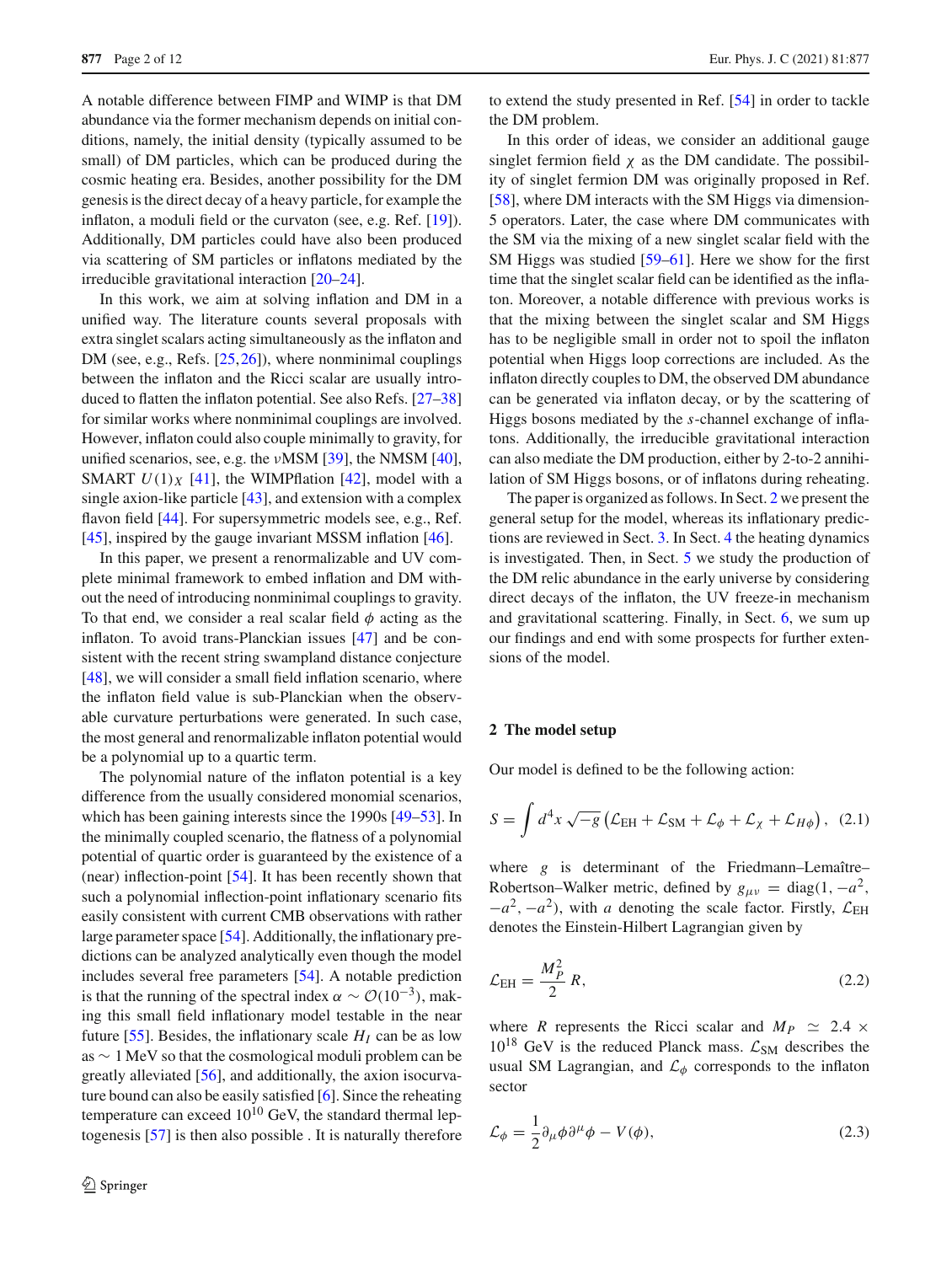A notable difference between FIMP and WIMP is that DM abundance via the former mechanism depends on initial conditions, namely, the initial density (typically assumed to be small) of DM particles, which can be produced during the cosmic heating era. Besides, another possibility for the DM genesis is the direct decay of a heavy particle, for example the inflaton, a moduli field or the curvaton (see, e.g. Ref. [\[19](#page-9-7)]). Additionally, DM particles could have also been produced via scattering of SM particles or inflatons mediated by the irreducible gravitational interaction [\[20](#page-9-8)[–24\]](#page-9-9).

In this work, we aim at solving inflation and DM in a unified way. The literature counts several proposals with extra singlet scalars acting simultaneously as the inflaton and DM (see, e.g., Refs. [\[25](#page-9-10),[26\]](#page-9-11)), where nonminimal couplings between the inflaton and the Ricci scalar are usually introduced to flatten the inflaton potential. See also Refs. [\[27](#page-9-12)[–38\]](#page-9-13) for similar works where nonminimal couplings are involved. However, inflaton could also couple minimally to gravity, for unified scenarios, see, e.g. the  $\nu$ MSM [\[39](#page-9-14)], the NMSM [\[40](#page-9-15)], SMART  $U(1)_X$  [\[41\]](#page-9-16), the WIMPflation [\[42](#page-9-17)], model with a single axion-like particle [\[43](#page-9-18)], and extension with a complex flavon field [\[44\]](#page-9-19). For supersymmetric models see, e.g., Ref. [\[45](#page-9-20)], inspired by the gauge invariant MSSM inflation [\[46](#page-10-0)].

In this paper, we present a renormalizable and UV complete minimal framework to embed inflation and DM without the need of introducing nonminimal couplings to gravity. To that end, we consider a real scalar field  $\phi$  acting as the inflaton. To avoid trans-Planckian issues [\[47](#page-10-1)] and be consistent with the recent string swampland distance conjecture [\[48](#page-10-2)], we will consider a small field inflation scenario, where the inflaton field value is sub-Planckian when the observable curvature perturbations were generated. In such case, the most general and renormalizable inflaton potential would be a polynomial up to a quartic term.

The polynomial nature of the inflaton potential is a key difference from the usually considered monomial scenarios, which has been gaining interests since the 1990s [\[49](#page-10-3)[–53\]](#page-10-4). In the minimally coupled scenario, the flatness of a polynomial potential of quartic order is guaranteed by the existence of a (near) inflection-point [\[54](#page-10-5)]. It has been recently shown that such a polynomial inflection-point inflationary scenario fits easily consistent with current CMB observations with rather large parameter space [\[54\]](#page-10-5). Additionally, the inflationary predictions can be analyzed analytically even though the model includes several free parameters [\[54](#page-10-5)]. A notable prediction is that the running of the spectral index  $\alpha \sim \mathcal{O}(10^{-3})$ , making this small field inflationary model testable in the near future [\[55\]](#page-10-6). Besides, the inflationary scale  $H_I$  can be as low as ∼ 1 MeV so that the cosmological moduli problem can be greatly alleviated [\[56\]](#page-10-7), and additionally, the axion isocurvature bound can also be easily satisfied [\[6\]](#page-8-4). Since the reheating temperature can exceed  $10^{10}$  GeV, the standard thermal leptogenesis [\[57\]](#page-10-8) is then also possible . It is naturally therefore

to extend the study presented in Ref. [\[54\]](#page-10-5) in order to tackle the DM problem.

In this order of ideas, we consider an additional gauge singlet fermion field  $\chi$  as the DM candidate. The possibility of singlet fermion DM was originally proposed in Ref. [\[58](#page-10-9)], where DM interacts with the SM Higgs via dimension-5 operators. Later, the case where DM communicates with the SM via the mixing of a new singlet scalar field with the SM Higgs was studied [\[59](#page-10-10)[–61](#page-10-11)]. Here we show for the first time that the singlet scalar field can be identified as the inflaton. Moreover, a notable difference with previous works is that the mixing between the singlet scalar and SM Higgs has to be negligible small in order not to spoil the inflaton potential when Higgs loop corrections are included. As the inflaton directly couples to DM, the observed DM abundance can be generated via inflaton decay, or by the scattering of Higgs bosons mediated by the *s*-channel exchange of inflatons. Additionally, the irreducible gravitational interaction can also mediate the DM production, either by 2-to-2 annihilation of SM Higgs bosons, or of inflatons during reheating.

The paper is organized as follows. In Sect. [2](#page-1-0) we present the general setup for the model, whereas its inflationary predictions are reviewed in Sect. [3.](#page-2-0) In Sect. [4](#page-3-0) the heating dynamics is investigated. Then, in Sect. [5](#page-4-0) we study the production of the DM relic abundance in the early universe by considering direct decays of the inflaton, the UV freeze-in mechanism and gravitational scattering. Finally, in Sect. [6,](#page-7-1) we sum up our findings and end with some prospects for further extensions of the model.

#### <span id="page-1-0"></span>**2 The model setup**

Our model is defined to be the following action:

$$
S = \int d^4x \sqrt{-g} \left( \mathcal{L}_{\text{EH}} + \mathcal{L}_{\text{SM}} + \mathcal{L}_{\phi} + \mathcal{L}_{\chi} + \mathcal{L}_{H\phi} \right), \tag{2.1}
$$

where *g* is determinant of the Friedmann–Lemaître– Robertson–Walker metric, defined by  $g_{\mu\nu} = \text{diag}(1, -a^2)$ ,  $-a^2$ ,  $-a^2$ ), with *a* denoting the scale factor. Firstly,  $\mathcal{L}_{EH}$ denotes the Einstein-Hilbert Lagrangian given by

<span id="page-1-1"></span>
$$
\mathcal{L}_{\rm EH} = \frac{M_P^2}{2} R,\tag{2.2}
$$

where *R* represents the Ricci scalar and  $M_p \simeq 2.4 \times$  $10^{18}$  GeV is the reduced Planck mass.  $\mathcal{L}_{SM}$  describes the usual SM Lagrangian, and  $\mathcal{L}_{\phi}$  corresponds to the inflaton sector

<span id="page-1-2"></span>
$$
\mathcal{L}_{\phi} = \frac{1}{2} \partial_{\mu} \phi \partial^{\mu} \phi - V(\phi), \qquad (2.3)
$$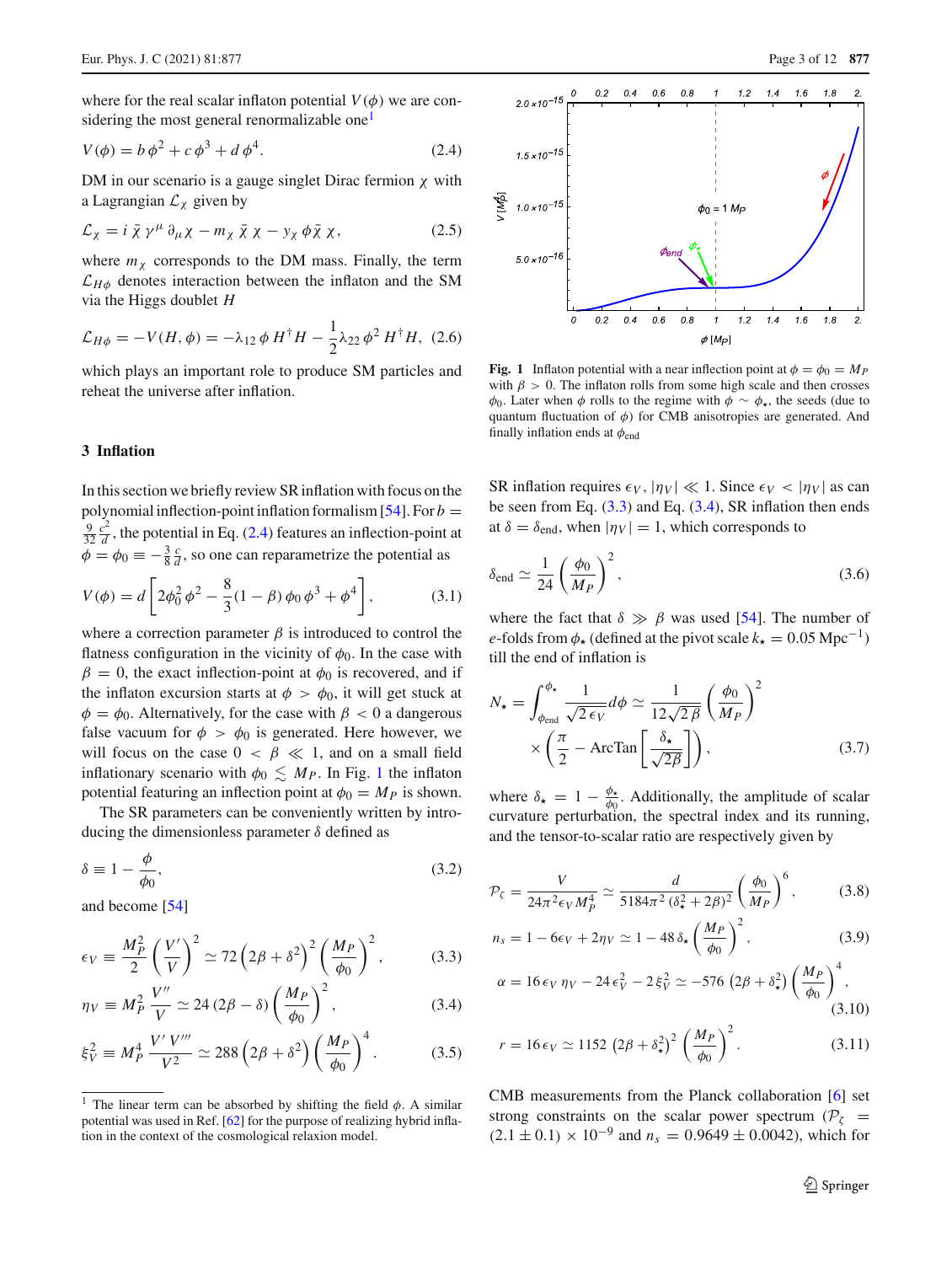where for the real scalar inflaton potential  $V(\phi)$  we are con-sidering the most general renormalizable one<sup>[1](#page-2-1)</sup>

<span id="page-2-2"></span>
$$
V(\phi) = b\,\phi^2 + c\,\phi^3 + d\,\phi^4. \tag{2.4}
$$

DM in our scenario is a gauge singlet Dirac fermion  $\chi$  with a Lagrangian  $\mathcal{L}_\chi$  given by

$$
\mathcal{L}_{\chi} = i \bar{\chi} \gamma^{\mu} \partial_{\mu} \chi - m_{\chi} \bar{\chi} \chi - y_{\chi} \phi \bar{\chi} \chi, \qquad (2.5)
$$

where  $m<sub>x</sub>$  corresponds to the DM mass. Finally, the term  $\mathcal{L}_{H\phi}$  denotes interaction between the inflaton and the SM via the Higgs doublet *H*

<span id="page-2-6"></span>
$$
\mathcal{L}_{H\phi} = -V(H,\phi) = -\lambda_{12} \phi H^{\dagger} H - \frac{1}{2} \lambda_{22} \phi^2 H^{\dagger} H, (2.6)
$$

which plays an important role to produce SM particles and reheat the universe after inflation.

#### <span id="page-2-0"></span>**3 Inflation**

In this section we briefly review SR inflation with focus on the polynomial inflection-point inflation formalism  $[54]$  $[54]$ . For  $b =$  $\frac{9}{32} \frac{c^2}{d}$ , the potential in Eq. [\(2.4\)](#page-2-2) features an inflection-point at  $\phi = \phi_0 \equiv -\frac{3}{8} \frac{c}{d}$ , so one can reparametrize the potential as

$$
V(\phi) = d \left[ 2\phi_0^2 \phi^2 - \frac{8}{3} (1 - \beta) \phi_0 \phi^3 + \phi^4 \right],
$$
 (3.1)

where a correction parameter  $\beta$  is introduced to control the flatness configuration in the vicinity of  $\phi_0$ . In the case with  $\beta = 0$ , the exact inflection-point at  $\phi_0$  is recovered, and if the inflaton excursion starts at  $\phi > \phi_0$ , it will get stuck at  $\phi = \phi_0$ . Alternatively, for the case with  $\beta < 0$  a dangerous false vacuum for  $\phi > \phi_0$  is generated. Here however, we will focus on the case  $0 < \beta \ll 1$ , and on a small field inflationary scenario with  $\phi_0 \lesssim M_P$ . In Fig. [1](#page-2-3) the inflaton potential featuring an inflection point at  $\phi_0 = M_P$  is shown.

The SR parameters can be conveniently written by introducing the dimensionless parameter  $\delta$  defined as

$$
\delta \equiv 1 - \frac{\phi}{\phi_0},\tag{3.2}
$$

and become [\[54\]](#page-10-5)

$$
\epsilon_V \equiv \frac{M_P^2}{2} \left(\frac{V'}{V}\right)^2 \simeq 72 \left(2\beta + \delta^2\right)^2 \left(\frac{M_P}{\phi_0}\right)^2, \tag{3.3}
$$

$$
\eta_V \equiv M_P^2 \frac{V''}{V} \simeq 24 (2\beta - \delta) \left(\frac{M_P}{\phi_0}\right)^2, \tag{3.4}
$$

$$
\xi_V^2 \equiv M_P^4 \, \frac{V' \, V'''}{V^2} \simeq 288 \left( 2\beta + \delta^2 \right) \left( \frac{M_P}{\phi_0} \right)^4. \tag{3.5}
$$



<span id="page-2-3"></span>**Fig. 1** Inflaton potential with a near inflection point at  $\phi = \phi_0 = M_P$ with  $\beta > 0$ . The inflaton rolls from some high scale and then crosses  $\phi_0$ . Later when  $\phi$  rolls to the regime with  $\phi \sim \phi_\star$ , the seeds (due to quantum fluctuation of  $\phi$ ) for CMB anisotropies are generated. And finally inflation ends at  $\phi_{end}$ 

SR inflation requires  $\epsilon_V$ ,  $|\eta_V| \ll 1$ . Since  $\epsilon_V < |\eta_V|$  as can be seen from Eq.  $(3.3)$  and Eq.  $(3.4)$ , SR inflation then ends at  $\delta = \delta_{\text{end}}$ , when  $|\eta_V| = 1$ , which corresponds to

$$
\delta_{\text{end}} \simeq \frac{1}{24} \left( \frac{\phi_0}{M_P} \right)^2, \tag{3.6}
$$

where the fact that  $\delta \gg \beta$  was used [\[54\]](#page-10-5). The number of *e*-folds from  $\phi_{\star}$  (defined at the pivot scale  $k_{\star} = 0.05 \text{ Mpc}^{-1}$ ) till the end of inflation is

$$
N_{\star} = \int_{\phi_{\text{end}}}^{\phi_{\star}} \frac{1}{\sqrt{2 \epsilon_V}} d\phi \simeq \frac{1}{12\sqrt{2\beta}} \left(\frac{\phi_0}{M_P}\right)^2
$$

$$
\times \left(\frac{\pi}{2} - \text{ArcTan}\left[\frac{\delta_{\star}}{\sqrt{2\beta}}\right]\right),\tag{3.7}
$$

where  $\delta_{\star} = 1 - \frac{\phi_{\star}}{\phi_0}$ . Additionally, the amplitude of scalar curvature perturbation, the spectral index and its running, and the tensor-to-scalar ratio are respectively given by

$$
\mathcal{P}_{\zeta} = \frac{V}{24\pi^2 \epsilon_V M_P^4} \simeq \frac{d}{5184\pi^2 (\delta_{\star}^2 + 2\beta)^2} \left(\frac{\phi_0}{M_P}\right)^6, \tag{3.8}
$$

<span id="page-2-4"></span>
$$
n_s = 1 - 6\epsilon_V + 2\eta_V \simeq 1 - 48 \,\delta_\star \left(\frac{M_P}{\phi_0}\right)^2,\tag{3.9}
$$

<span id="page-2-5"></span>
$$
\alpha = 16 \epsilon_V \eta_V - 24 \epsilon_V^2 - 2 \xi_V^2 \simeq -576 (2\beta + \delta_\star^2) \left(\frac{M_P}{\phi_0}\right)^4, \tag{3.10}
$$

$$
r = 16 \epsilon_V \simeq 1152 \left(2\beta + \delta_\star^2\right)^2 \left(\frac{M_P}{\phi_0}\right)^2. \tag{3.11}
$$

CMB measurements from the Planck collaboration [\[6](#page-8-4)] set strong constraints on the scalar power spectrum ( $P_{\zeta}$  =  $(2.1 \pm 0.1) \times 10^{-9}$  and  $n_s = 0.9649 \pm 0.0042$ , which for

<span id="page-2-1"></span>The linear term can be absorbed by shifting the field  $\phi$ . A similar potential was used in Ref. [\[62](#page-10-12)] for the purpose of realizing hybrid inflation in the context of the cosmological relaxion model.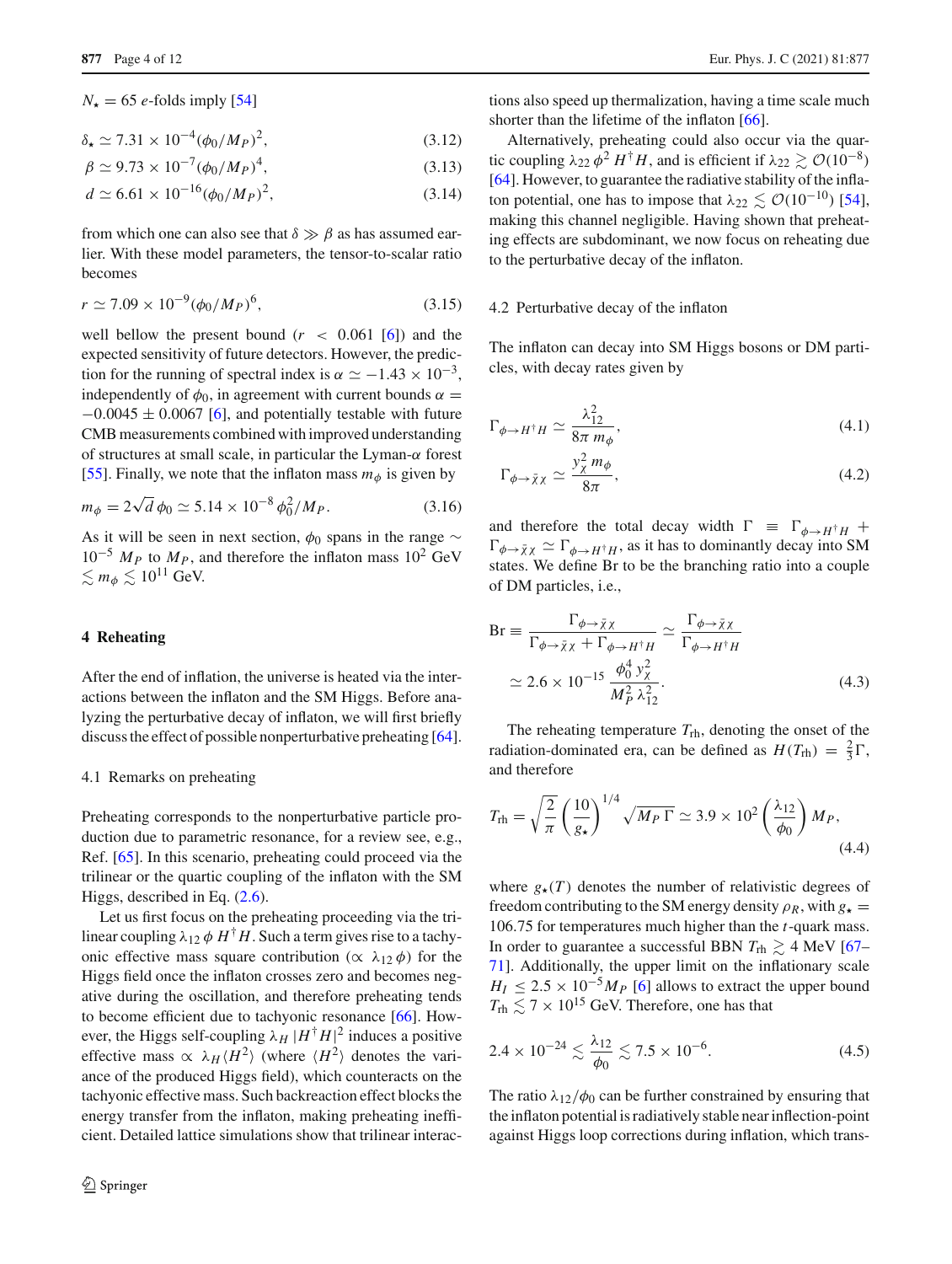$N_{\star} = 65$  *e*-folds imply [\[54\]](#page-10-5)

$$
\delta_{\star} \simeq 7.31 \times 10^{-4} (\phi_0 / M_P)^2, \tag{3.12}
$$

$$
\beta \simeq 9.73 \times 10^{-7} (\phi_0 / M_P)^4, \tag{3.13}
$$

$$
d \simeq 6.61 \times 10^{-16} (\phi_0 / M_P)^2, \tag{3.14}
$$

from which one can also see that  $\delta \gg \beta$  as has assumed earlier. With these model parameters, the tensor-to-scalar ratio becomes

$$
r \simeq 7.09 \times 10^{-9} (\phi_0 / M_P)^6, \tag{3.15}
$$

well bellow the present bound  $(r < 0.061$  [\[6](#page-8-4)]) and the expected sensitivity of future detectors. However, the prediction for the running of spectral index is  $\alpha \simeq -1.43 \times 10^{-3}$ , independently of  $\phi_0$ , in agreement with current bounds  $\alpha =$  $-0.0045 \pm 0.0067$  [\[6\]](#page-8-4), and potentially testable with future CMB measurements combined with improved understanding of structures at small scale, in particular the Lyman- $\alpha$  forest [\[55](#page-10-6)]. Finally, we note that the inflaton mass  $m_{\phi}$  is given by

<span id="page-3-4"></span>
$$
m_{\phi} = 2\sqrt{d} \phi_0 \simeq 5.14 \times 10^{-8} \phi_0^2 / M_P. \tag{3.16}
$$

As it will be seen in next section,  $\phi_0$  spans in the range  $\sim$  $10^{-5}$  *M<sub>P</sub>* to *M<sub>P</sub>*, and therefore the inflaton mass  $10^{2}$  GeV  $\lesssim m_{\phi} \lesssim 10^{11}$  GeV.

#### <span id="page-3-0"></span>**4 Reheating**

After the end of inflation, the universe is heated via the interactions between the inflaton and the SM Higgs. Before analyzing the perturbative decay of inflaton, we will first briefly discuss the effect of possible nonperturbative preheating [\[64](#page-10-13)].

#### <span id="page-3-1"></span>4.1 Remarks on preheating

Preheating corresponds to the nonperturbative particle production due to parametric resonance, for a review see, e.g., Ref. [\[65\]](#page-10-14). In this scenario, preheating could proceed via the trilinear or the quartic coupling of the inflaton with the SM Higgs, described in Eq.  $(2.6)$ .

Let us first focus on the preheating proceeding via the trilinear coupling  $\lambda_{12} \phi H^{\dagger}H$ . Such a term gives rise to a tachyonic effective mass square contribution ( $\alpha \lambda_{12} \phi$ ) for the Higgs field once the inflaton crosses zero and becomes negative during the oscillation, and therefore preheating tends to become efficient due to tachyonic resonance [\[66\]](#page-10-15). However, the Higgs self-coupling  $\lambda_H |H^{\dagger} H|^2$  induces a positive effective mass  $\propto \lambda_H \langle H^2 \rangle$  (where  $\langle H^2 \rangle$  denotes the variance of the produced Higgs field), which counteracts on the tachyonic effective mass. Such backreaction effect blocks the energy transfer from the inflaton, making preheating inefficient. Detailed lattice simulations show that trilinear interac-

tions also speed up thermalization, having a time scale much shorter than the lifetime of the inflaton [\[66\]](#page-10-15).

Alternatively, preheating could also occur via the quartic coupling  $\lambda_{22} \phi^2 H^{\dagger} H$ , and is efficient if  $\lambda_{22} \gtrsim \mathcal{O}(10^{-8})$ [\[64](#page-10-13)]. However, to guarantee the radiative stability of the inflaton potential, one has to impose that  $\lambda_{22} \lesssim \mathcal{O}(10^{-10})$  [\[54](#page-10-5)], making this channel negligible. Having shown that preheating effects are subdominant, we now focus on reheating due to the perturbative decay of the inflaton.

#### <span id="page-3-2"></span>4.2 Perturbative decay of the inflaton

The inflaton can decay into SM Higgs bosons or DM particles, with decay rates given by

$$
\Gamma_{\phi \to H^{\dagger} H} \simeq \frac{\lambda_{12}^2}{8\pi m_{\phi}},\tag{4.1}
$$

$$
\Gamma_{\phi \to \bar{\chi} \chi} \simeq \frac{y_\chi^2 m_\phi}{8\pi},\tag{4.2}
$$

and therefore the total decay width  $\Gamma \equiv \Gamma_{\phi \to H^{\dagger}H} +$  $\Gamma_{\phi \to \bar{\chi} \chi} \simeq \Gamma_{\phi \to H^{\dagger}H}$ , as it has to dominantly decay into SM states. We define Br to be the branching ratio into a couple of DM particles, i.e.,

$$
Br \equiv \frac{\Gamma_{\phi \to \bar{\chi} \chi}}{\Gamma_{\phi \to \bar{\chi} \chi} + \Gamma_{\phi \to H^{\dagger} H}} \simeq \frac{\Gamma_{\phi \to \bar{\chi} \chi}}{\Gamma_{\phi \to H^{\dagger} H}}
$$
  

$$
\simeq 2.6 \times 10^{-15} \frac{\phi_0^4 y_\chi^2}{M_P^2 \lambda_{12}^2}.
$$
 (4.3)

The reheating temperature *T*rh, denoting the onset of the radiation-dominated era, can be defined as  $H(T_{\text{rh}}) = \frac{2}{3}\Gamma$ , and therefore

$$
T_{\rm rh} = \sqrt{\frac{2}{\pi}} \left(\frac{10}{g_\star}\right)^{1/4} \sqrt{M_P \Gamma} \simeq 3.9 \times 10^2 \left(\frac{\lambda_{12}}{\phi_0}\right) M_P,\tag{4.4}
$$

where  $g_{\star}(T)$  denotes the number of relativistic degrees of freedom contributing to the SM energy density  $\rho_R$ , with  $g_{\star} =$ 106.75 for temperatures much higher than the *t*-quark mass. In order to guarantee a successful BBN  $T_{\text{rh}} \geq 4$  MeV [\[67](#page-10-16)– [71](#page-10-17)]. Additionally, the upper limit on the inflationary scale  $H_I \leq 2.5 \times 10^{-5} M_P$  [\[6](#page-8-4)] allows to extract the upper bound  $T_{\text{rh}} \lesssim 7 \times 10^{15}$  GeV. Therefore, one has that

<span id="page-3-3"></span>
$$
2.4 \times 10^{-24} \lesssim \frac{\lambda_{12}}{\phi_0} \lesssim 7.5 \times 10^{-6}.
$$
 (4.5)

The ratio  $\lambda_{12}/\phi_0$  can be further constrained by ensuring that the inflaton potential is radiatively stable near inflection-point against Higgs loop corrections during inflation, which trans-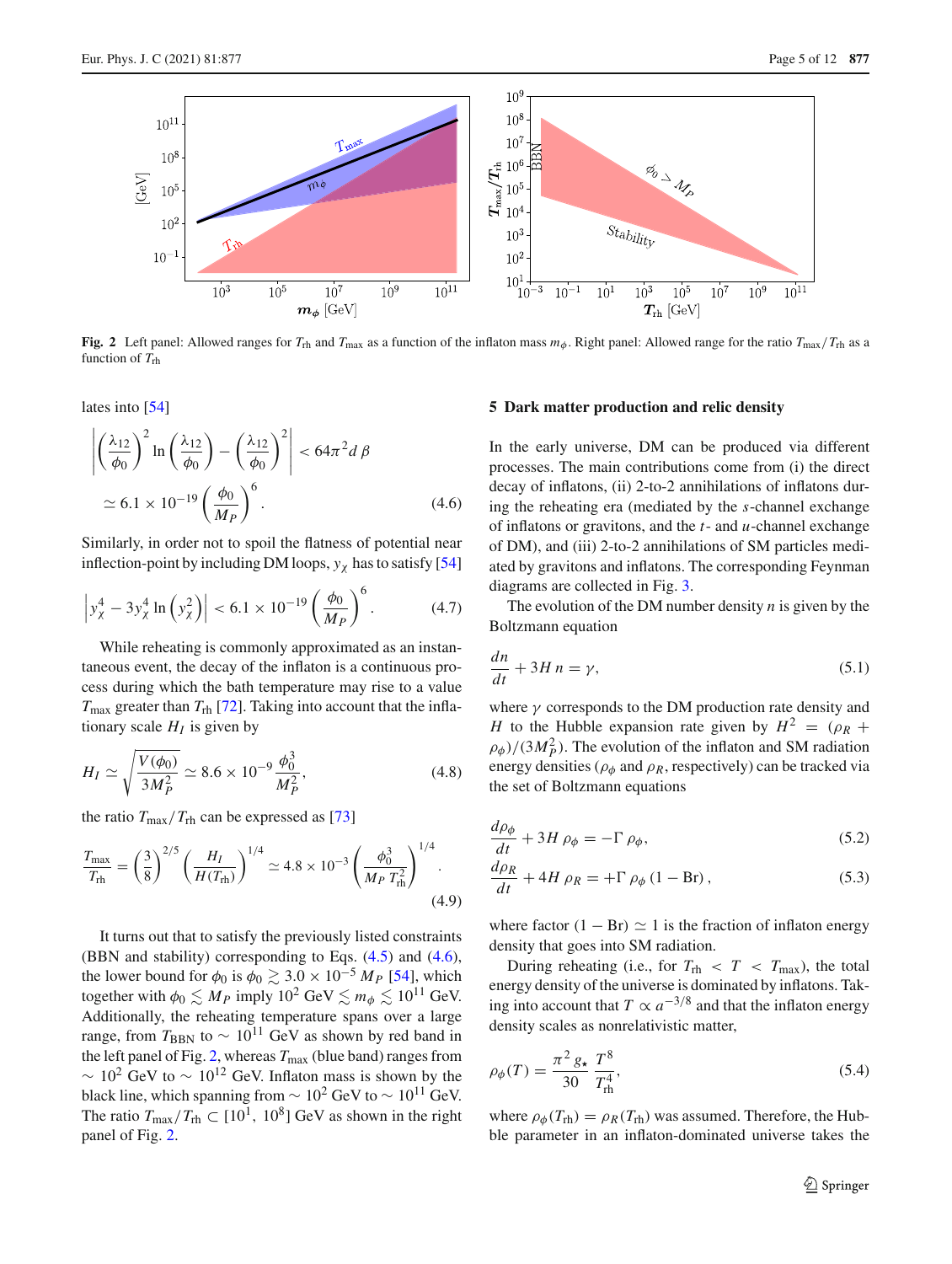

<span id="page-4-2"></span>**Fig. 2** Left panel: Allowed ranges for  $T_{\text{rh}}$  and  $T_{\text{max}}$  as a function of the inflaton mass  $m_{\phi}$ . Right panel: Allowed range for the ratio  $T_{\text{max}}/T_{\text{rh}}$  as a function of *T*rh

lates into [\[54](#page-10-5)]

<span id="page-4-1"></span>
$$
\left| \left( \frac{\lambda_{12}}{\phi_0} \right)^2 \ln \left( \frac{\lambda_{12}}{\phi_0} \right) - \left( \frac{\lambda_{12}}{\phi_0} \right)^2 \right| < 64\pi^2 d \beta
$$
\n
$$
\simeq 6.1 \times 10^{-19} \left( \frac{\phi_0}{M_P} \right)^6. \tag{4.6}
$$

Similarly, in order not to spoil the flatness of potential near inflection-point by including DM loops,  $y_\chi$  has to satisfy [\[54\]](#page-10-5)

<span id="page-4-4"></span>
$$
\left| y_{\chi}^4 - 3y_{\chi}^4 \ln \left( y_{\chi}^2 \right) \right| < 6.1 \times 10^{-19} \left( \frac{\phi_0}{M_P} \right)^6.
$$
 (4.7)

While reheating is commonly approximated as an instantaneous event, the decay of the inflaton is a continuous process during which the bath temperature may rise to a value  $T_{\text{max}}$  greater than  $T_{\text{rh}}$  [\[72\]](#page-10-18). Taking into account that the inflationary scale  $H_I$  is given by

<span id="page-4-5"></span>
$$
H_I \simeq \sqrt{\frac{V(\phi_0)}{3M_P^2}} \simeq 8.6 \times 10^{-9} \frac{\phi_0^3}{M_P^2},\tag{4.8}
$$

the ratio  $T_{\text{max}}/T_{\text{rh}}$  can be expressed as [\[73](#page-10-19)]

$$
\frac{T_{\text{max}}}{T_{\text{rh}}} = \left(\frac{3}{8}\right)^{2/5} \left(\frac{H_I}{H(T_{\text{rh}})}\right)^{1/4} \simeq 4.8 \times 10^{-3} \left(\frac{\phi_0^3}{M_P T_{\text{rh}}^2}\right)^{1/4}.
$$
\n(4.9)

It turns out that to satisfy the previously listed constraints (BBN and stability) corresponding to Eqs. [\(4.5\)](#page-3-3) and [\(4.6\)](#page-4-1), the lower bound for  $\phi_0$  is  $\phi_0 \gtrsim 3.0 \times 10^{-5} M_P$  [\[54](#page-10-5)], which together with  $\phi_0 \lesssim M_P$  imply  $10^2 \text{ GeV} \lesssim m_\phi \lesssim 10^{11} \text{ GeV}$ . Additionally, the reheating temperature spans over a large range, from  $T_{\text{BBN}}$  to ~ 10<sup>11</sup> GeV as shown by red band in the left panel of Fig. [2,](#page-4-2) whereas  $T_{\text{max}}$  (blue band) ranges from  $\sim 10^2$  GeV to  $\sim 10^{12}$  GeV. Inflaton mass is shown by the black line, which spanning from  $\sim 10^2$  GeV to  $\sim 10^{11}$  GeV. The ratio  $T_{\text{max}}/T_{\text{rh}} \subset [10^1, 10^8]$  GeV as shown in the right panel of Fig. [2.](#page-4-2)

#### <span id="page-4-0"></span>**5 Dark matter production and relic density**

In the early universe, DM can be produced via different processes. The main contributions come from (i) the direct decay of inflatons, (ii) 2-to-2 annihilations of inflatons during the reheating era (mediated by the *s*-channel exchange of inflatons or gravitons, and the *t*- and *u*-channel exchange of DM), and (iii) 2-to-2 annihilations of SM particles mediated by gravitons and inflatons. The corresponding Feynman diagrams are collected in Fig. [3.](#page-5-1)

The evolution of the DM number density *n* is given by the Boltzmann equation

<span id="page-4-3"></span>
$$
\frac{dn}{dt} + 3H n = \gamma,\tag{5.1}
$$

where  $\gamma$  corresponds to the DM production rate density and *H* to the Hubble expansion rate given by  $H^2 = (\rho_R +$  $\rho_{\phi}$ )/(3*M*<sup>2</sup><sub>*P*</sub>). The evolution of the inflaton and SM radiation energy densities ( $\rho_{\phi}$  and  $\rho_R$ , respectively) can be tracked via the set of Boltzmann equations

$$
\frac{d\rho_{\phi}}{dt} + 3H \rho_{\phi} = -\Gamma \rho_{\phi},\tag{5.2}
$$

$$
\frac{d\rho_R}{dt} + 4H \rho_R = +\Gamma \rho_\phi (1 - Br), \qquad (5.3)
$$

where factor  $(1 - Br) \simeq 1$  is the fraction of inflaton energy density that goes into SM radiation.

During reheating (i.e., for  $T_{\text{rh}} < T < T_{\text{max}}$ ), the total energy density of the universe is dominated by inflatons. Taking into account that  $T \propto a^{-3/8}$  and that the inflaton energy density scales as nonrelativistic matter,

$$
\rho_{\phi}(T) = \frac{\pi^2 g_{\star}}{30} \frac{T^8}{T_{\text{rh}}^4},\tag{5.4}
$$

where  $\rho_{\phi}(T_{\text{rh}}) = \rho_R(T_{\text{rh}})$  was assumed. Therefore, the Hubble parameter in an inflaton-dominated universe takes the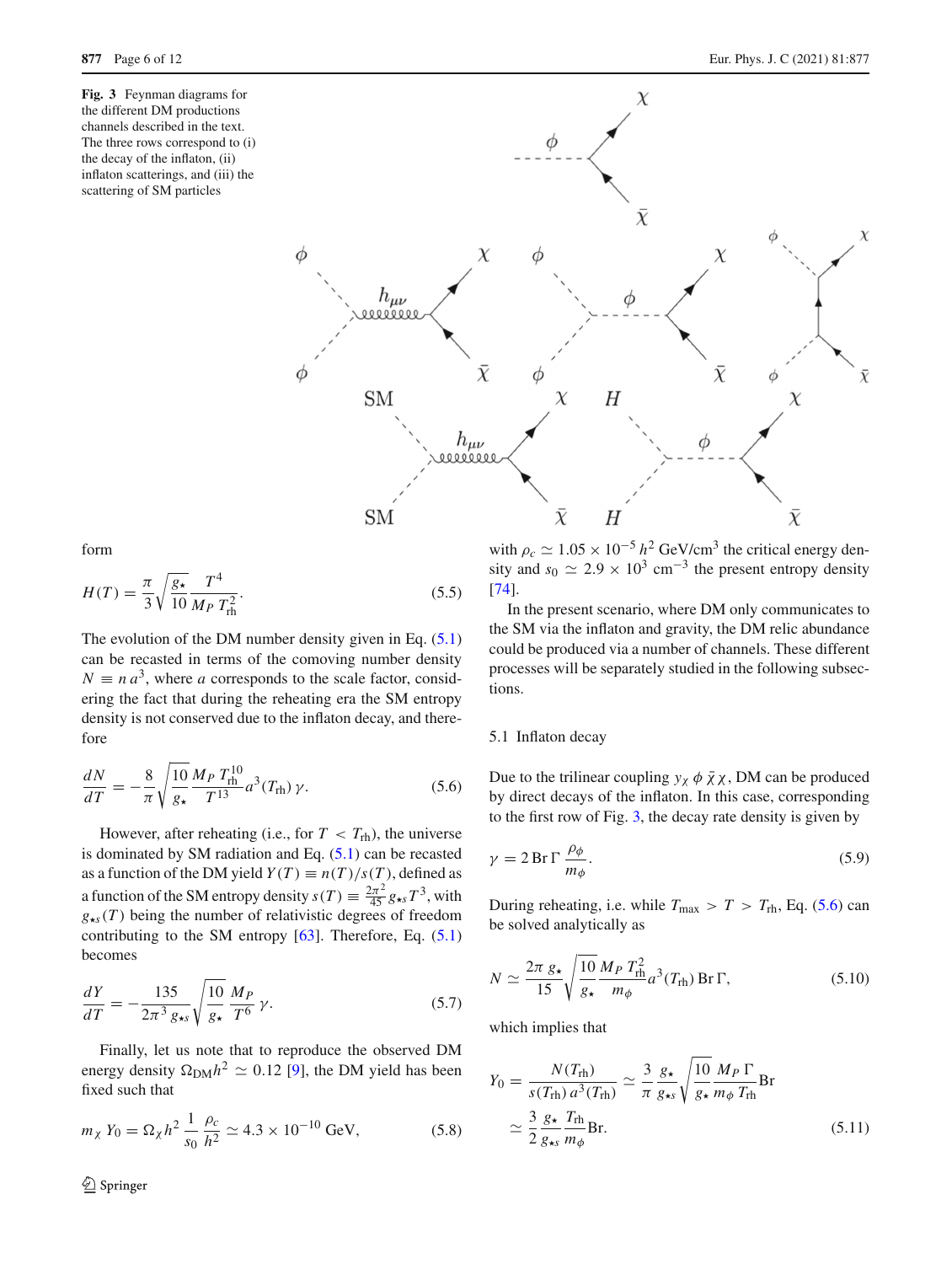<span id="page-5-1"></span>**Fig. 3** Feynman diagrams for the different DM productions channels described in the text. The three rows correspond to (i) the decay of the inflaton, (ii) inflaton scatterings, and (iii) the scattering of SM particles



form

$$
H(T) = \frac{\pi}{3} \sqrt{\frac{g_{\star}}{10}} \frac{T^4}{M_P T_{\text{rh}}^2}.
$$
 (5.5)

The evolution of the DM number density given in Eq.  $(5.1)$ can be recasted in terms of the comoving number density  $N \equiv n a^3$ , where *a* corresponds to the scale factor, considering the fact that during the reheating era the SM entropy density is not conserved due to the inflaton decay, and therefore

<span id="page-5-2"></span>
$$
\frac{dN}{dT} = -\frac{8}{\pi} \sqrt{\frac{10}{g_\star}} \frac{M_P T_{\text{rh}}^{10}}{T^{13}} a^3(T_{\text{rh}}) \gamma.
$$
 (5.6)

However, after reheating (i.e., for  $T < T_{\text{rh}}$ ), the universe is dominated by SM radiation and Eq.  $(5.1)$  can be recasted as a function of the DM yield  $Y(T) \equiv n(T)/s(T)$ , defined as a function of the SM entropy density  $s(T) \equiv \frac{2\pi^2}{45} g_{\star s} T^3$ , with  $g_{\star s}(T)$  being the number of relativistic degrees of freedom contributing to the SM entropy  $[63]$  $[63]$ . Therefore, Eq.  $(5.1)$ becomes

<span id="page-5-3"></span>
$$
\frac{dY}{dT} = -\frac{135}{2\pi^3 \, g_{\star s}} \sqrt{\frac{10}{g_{\star}}} \, \frac{M_P}{T^6} \, \gamma. \tag{5.7}
$$

Finally, let us note that to reproduce the observed DM energy density  $\Omega_{\text{DM}} h^2 \simeq 0.12$  [\[9\]](#page-9-1), the DM yield has been fixed such that

$$
m_{\chi} Y_0 = \Omega_{\chi} h^2 \frac{1}{s_0} \frac{\rho_c}{h^2} \simeq 4.3 \times 10^{-10} \text{ GeV},\tag{5.8}
$$

<sup>2</sup> Springer

with  $\rho_c \simeq 1.05 \times 10^{-5} h^2$  GeV/cm<sup>3</sup> the critical energy density and  $s_0 \simeq 2.9 \times 10^3$  cm<sup>-3</sup> the present entropy density [\[74](#page-10-21)].

In the present scenario, where DM only communicates to the SM via the inflaton and gravity, the DM relic abundance could be produced via a number of channels. These different processes will be separately studied in the following subsections.

#### <span id="page-5-0"></span>5.1 Inflaton decay

Due to the trilinear coupling  $y_\chi \phi \bar{\chi} \chi$ , DM can be produced by direct decays of the inflaton. In this case, corresponding to the first row of Fig. [3,](#page-5-1) the decay rate density is given by

$$
\gamma = 2 \operatorname{Br} \Gamma \frac{\rho_{\phi}}{m_{\phi}}.\tag{5.9}
$$

During reheating, i.e. while  $T_{\text{max}} > T > T_{\text{rh}}$ , Eq. [\(5.6\)](#page-5-2) can be solved analytically as

$$
N \simeq \frac{2\pi g_{\star}}{15} \sqrt{\frac{10}{g_{\star}}} \frac{M_P T_{\rm rh}^2}{m_{\phi}} a^3(T_{\rm rh}) \operatorname{Br} \Gamma, \qquad (5.10)
$$

which implies that

<span id="page-5-4"></span>
$$
Y_0 = \frac{N(T_{\rm rh})}{s(T_{\rm rh}) a^3(T_{\rm rh})} \simeq \frac{3}{\pi} \frac{g_{\star}}{g_{\star s}} \sqrt{\frac{10}{g_{\star}}} \frac{M_P \Gamma}{m_{\phi} T_{\rm rh}} \text{Br}
$$
  

$$
\simeq \frac{3}{2} \frac{g_{\star}}{g_{\star s}} \frac{T_{\rm rh}}{m_{\phi}} \text{Br}. \tag{5.11}
$$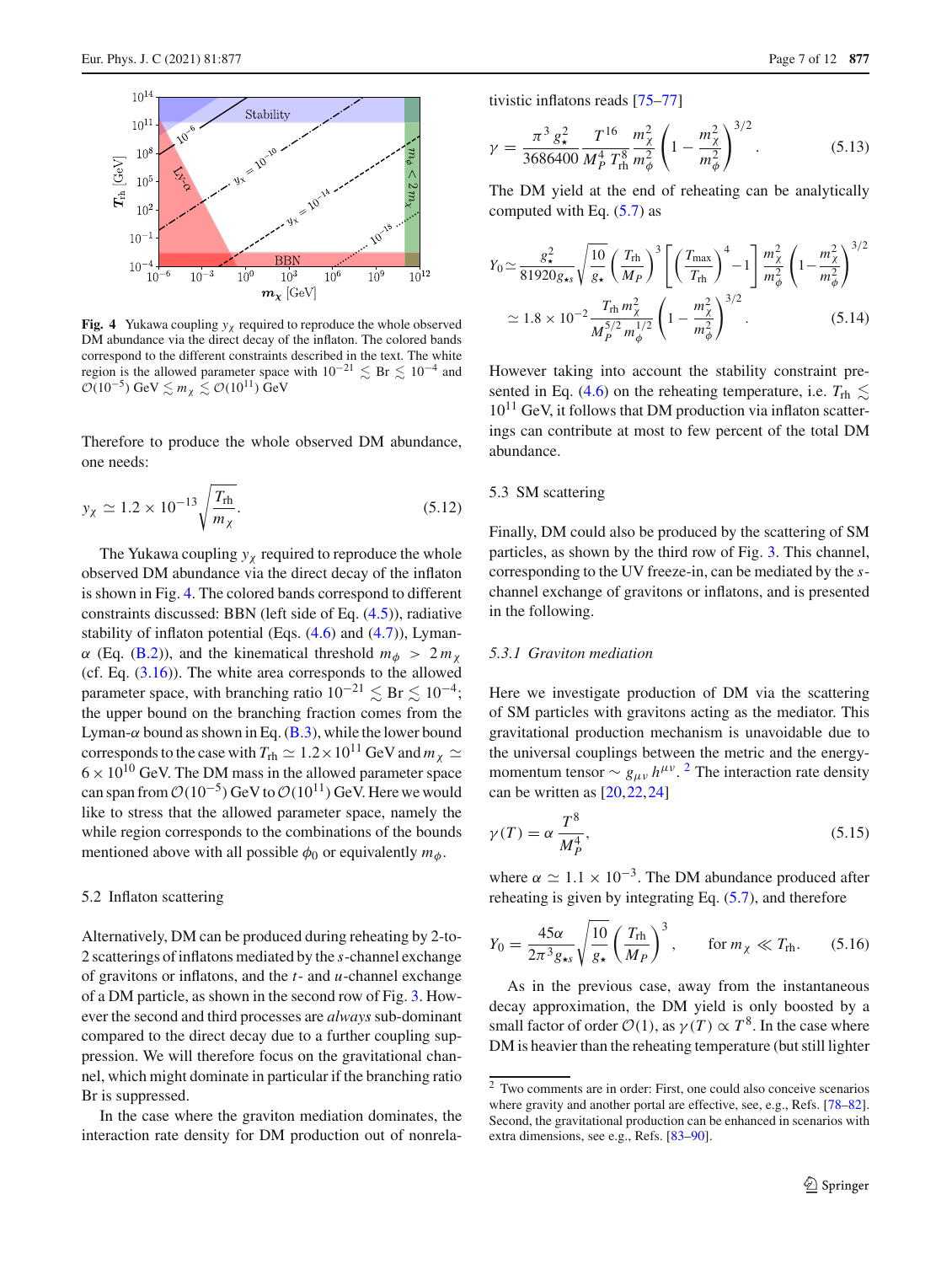

<span id="page-6-3"></span>**Fig. 4** Yukawa coupling  $y<sub>x</sub>$  required to reproduce the whole observed DM abundance via the direct decay of the inflaton. The colored bands correspond to the different constraints described in the text. The white region is the allowed parameter space with  $10^{-21} \lesssim Br \lesssim 10^{-4}$  and  $\mathcal{O}(10^{-5})$  GeV  $\lesssim m_\chi \lesssim \mathcal{O}(10^{11})$  GeV

Therefore to produce the whole observed DM abundance, one needs:

$$
y_{\chi} \simeq 1.2 \times 10^{-13} \sqrt{\frac{T_{\text{rh}}}{m_{\chi}}}.
$$
 (5.12)

The Yukawa coupling  $y<sub>x</sub>$  required to reproduce the whole observed DM abundance via the direct decay of the inflaton is shown in Fig. [4.](#page-6-3) The colored bands correspond to different constraints discussed: BBN (left side of Eq. [\(4.5\)](#page-3-3)), radiative stability of inflaton potential (Eqs.  $(4.6)$  and  $(4.7)$ ), Lyman- $\alpha$  (Eq. [\(B.2\)](#page-1-1)), and the kinematical threshold  $m_{\phi} > 2 m_{\chi}$ (cf. Eq. [\(3.16\)](#page-3-4)). The white area corresponds to the allowed parameter space, with branching ratio  $10^{-21} \lesssim \text{Br} \lesssim 10^{-4}$ ; the upper bound on the branching fraction comes from the Lyman- $\alpha$  bound as shown in Eq. [\(B.3\)](#page-1-2), while the lower bound corresponds to the case with  $T_{\text{rh}} \simeq 1.2 \times 10^{11}$  GeV and  $m_{\chi} \simeq$  $6 \times 10^{10}$  GeV. The DM mass in the allowed parameter space can span from  $O(10^{-5})$  GeV to  $O(10^{11})$  GeV. Here we would like to stress that the allowed parameter space, namely the while region corresponds to the combinations of the bounds mentioned above with all possible  $\phi_0$  or equivalently  $m_{\phi}$ .

#### <span id="page-6-0"></span>5.2 Inflaton scattering

Alternatively, DM can be produced during reheating by 2-to-2 scatterings of inflatons mediated by the *s*-channel exchange of gravitons or inflatons, and the *t*- and *u*-channel exchange of a DM particle, as shown in the second row of Fig. [3.](#page-5-1) However the second and third processes are *always* sub-dominant compared to the direct decay due to a further coupling suppression. We will therefore focus on the gravitational channel, which might dominate in particular if the branching ratio Br is suppressed.

In the case where the graviton mediation dominates, the interaction rate density for DM production out of nonrelativistic inflatons reads [\[75](#page-10-22)[–77](#page-10-23)]

$$
\gamma = \frac{\pi^3 g_\star^2}{3686400} \frac{T^{16}}{M_P^4 T_{\text{rh}}^8} \frac{m_\chi^2}{m_\phi^2} \left( 1 - \frac{m_\chi^2}{m_\phi^2} \right)^{3/2} . \tag{5.13}
$$

The DM yield at the end of reheating can be analytically computed with Eq.  $(5.7)$  as

$$
Y_0 \simeq \frac{g_{\star}^2}{81920 g_{\star s}} \sqrt{\frac{10}{g_{\star}}} \left(\frac{T_{\rm rh}}{M_P}\right)^3 \left[ \left(\frac{T_{\rm max}}{T_{\rm rh}}\right)^4 - 1 \right] \frac{m_{\chi}^2}{m_{\phi}^2} \left(1 - \frac{m_{\chi}^2}{m_{\phi}^2}\right)^{3/2} \simeq 1.8 \times 10^{-2} \frac{T_{\rm rh} m_{\chi}^2}{M_P^{5/2} m_{\phi}^{1/2}} \left(1 - \frac{m_{\chi}^2}{m_{\phi}^2}\right)^{3/2}.
$$
\n(5.14)

However taking into account the stability constraint pre-sented in Eq. [\(4.6\)](#page-4-1) on the reheating temperature, i.e.  $T_{\text{rh}} \lesssim$  $10^{11}$  GeV, it follows that DM production via inflaton scatterings can contribute at most to few percent of the total DM abundance.

#### <span id="page-6-1"></span>5.3 SM scattering

Finally, DM could also be produced by the scattering of SM particles, as shown by the third row of Fig. [3.](#page-5-1) This channel, corresponding to the UV freeze-in, can be mediated by the *s*channel exchange of gravitons or inflatons, and is presented in the following.

## <span id="page-6-2"></span>*5.3.1 Graviton mediation*

Here we investigate production of DM via the scattering of SM particles with gravitons acting as the mediator. This gravitational production mechanism is unavoidable due to the universal couplings between the metric and the energymomentum tensor  $\sim g_{\mu\nu} h^{\mu\nu}$ . <sup>[2](#page-6-4)</sup> The interaction rate density can be written as  $[20, 22, 24]$  $[20, 22, 24]$  $[20, 22, 24]$ 

$$
\gamma(T) = \alpha \frac{T^8}{M_P^4},\tag{5.15}
$$

where  $\alpha \simeq 1.1 \times 10^{-3}$ . The DM abundance produced after reheating is given by integrating Eq. [\(5.7\)](#page-5-3), and therefore

$$
Y_0 = \frac{45\alpha}{2\pi^3 g_{\star s}} \sqrt{\frac{10}{g_{\star}}} \left(\frac{T_{\rm rh}}{M_P}\right)^3, \qquad \text{for } m_\chi \ll T_{\rm rh}.\tag{5.16}
$$

As in the previous case, away from the instantaneous decay approximation, the DM yield is only boosted by a small factor of order  $O(1)$ , as  $\gamma(T) \propto T^8$ . In the case where DM is heavier than the reheating temperature (but still lighter

<span id="page-6-4"></span> $\frac{2}{2}$  Two comments are in order: First, one could also conceive scenarios where gravity and another portal are effective, see, e.g., Refs. [\[78](#page-10-24)[–82](#page-10-25)]. Second, the gravitational production can be enhanced in scenarios with extra dimensions, see e.g., Refs. [\[83](#page-10-26)[–90](#page-11-0)].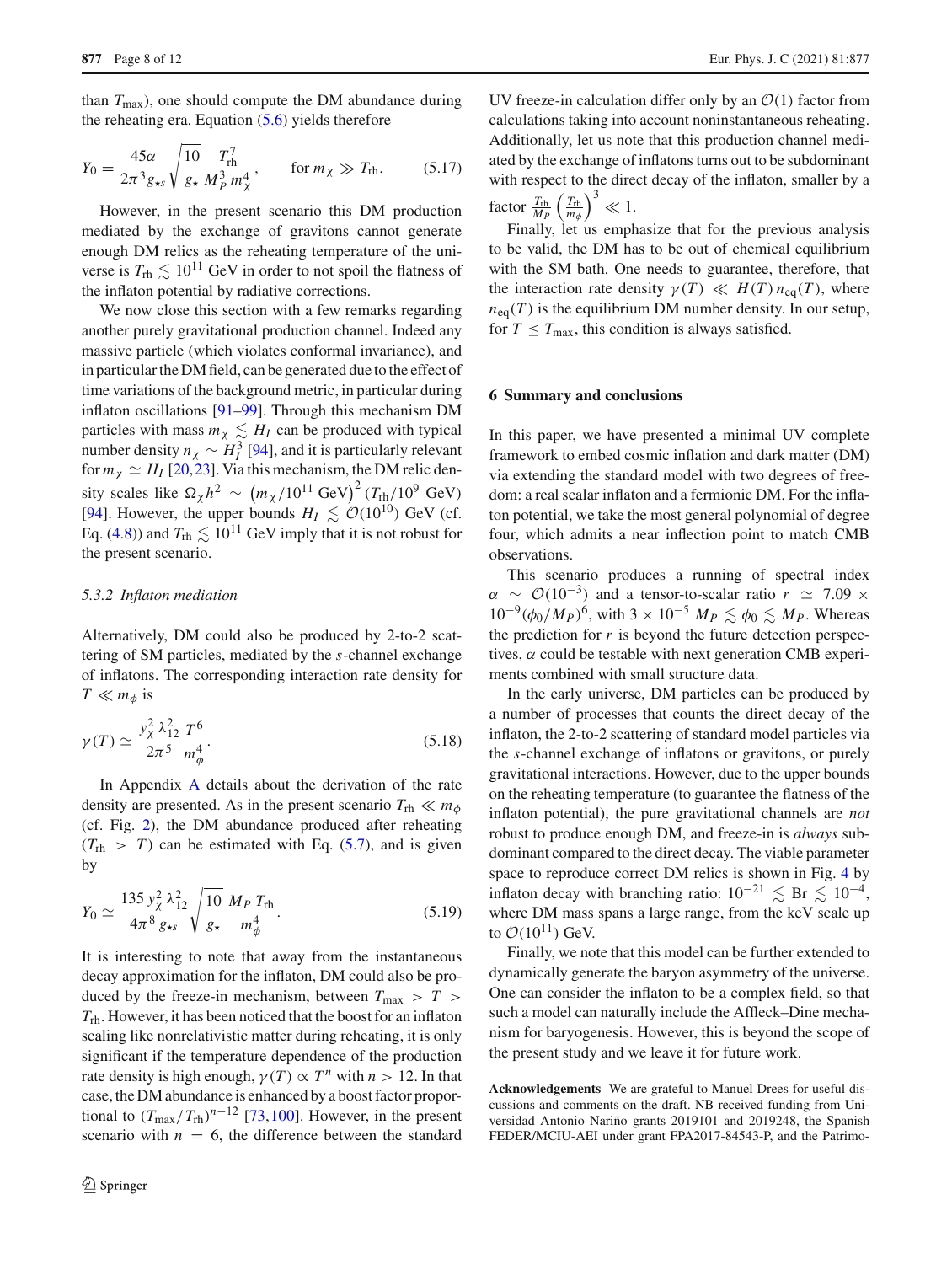than *T*max), one should compute the DM abundance during the reheating era. Equation  $(5.6)$  yields therefore

$$
Y_0 = \frac{45\alpha}{2\pi^3 g_{\star s}} \sqrt{\frac{10}{g_{\star}} \frac{T_{\text{rh}}^7}{M_P^3 m_{\chi}^4}}, \qquad \text{for } m_{\chi} \gg T_{\text{rh}}.
$$
 (5.17)

However, in the present scenario this DM production mediated by the exchange of gravitons cannot generate enough DM relics as the reheating temperature of the universe is  $T_{\text{rh}} \lesssim 10^{11}$  GeV in order to not spoil the flatness of the inflaton potential by radiative corrections.

We now close this section with a few remarks regarding another purely gravitational production channel. Indeed any massive particle (which violates conformal invariance), and in particular the DM field, can be generated due to the effect of time variations of the background metric, in particular during inflaton oscillations [\[91](#page-11-1)[–99](#page-11-2)]. Through this mechanism DM particles with mass  $m_{\chi} \lesssim H_I$  can be produced with typical number density  $n_\chi \sim H_I^3$  [\[94](#page-11-3)], and it is particularly relevant for  $m_\chi \simeq H_I$  [\[20](#page-9-8),[23\]](#page-9-22). Via this mechanism, the DM relic density scales like  $\Omega_{\chi} h^2 \sim (m_{\chi}/10^{11} \text{ GeV})^2 (T_{\text{rh}}/10^9 \text{ GeV})$ [\[94](#page-11-3)]. However, the upper bounds  $H_I \lesssim \mathcal{O}(10^{10})$  GeV (cf. Eq. [\(4.8\)](#page-4-5)) and  $T_{\text{rh}} \lesssim 10^{11} \text{ GeV}$  imply that it is not robust for the present scenario.

#### <span id="page-7-0"></span>*5.3.2 Inflaton mediation*

Alternatively, DM could also be produced by 2-to-2 scattering of SM particles, mediated by the *s*-channel exchange of inflatons. The corresponding interaction rate density for  $T \ll m_\phi$  is

$$
\gamma(T) \simeq \frac{y_{\chi}^2 \lambda_{12}^2}{2\pi^5} \frac{T^6}{m_{\phi}^4}.
$$
\n(5.18)

In Appendix [A](#page-0-1) details about the derivation of the rate density are presented. As in the present scenario  $T_{\text{rh}} \ll m_{\phi}$ (cf. Fig. [2\)](#page-4-2), the DM abundance produced after reheating  $(T_{\text{rh}} > T)$  can be estimated with Eq. [\(5.7\)](#page-5-3), and is given by

$$
Y_0 \simeq \frac{135 y_{\chi}^2 \lambda_{12}^2}{4\pi^8 g_{\star s}} \sqrt{\frac{10}{g_{\star}}} \frac{M_P T_{\text{rh}}}{m_{\phi}^4}.
$$
 (5.19)

It is interesting to note that away from the instantaneous decay approximation for the inflaton, DM could also be produced by the freeze-in mechanism, between  $T_{\text{max}} > T >$ *T*rh. However, it has been noticed that the boost for an inflaton scaling like nonrelativistic matter during reheating, it is only significant if the temperature dependence of the production rate density is high enough,  $\gamma(T) \propto T^n$  with  $n > 12$ . In that case, the DM abundance is enhanced by a boost factor proportional to  $(T_{\text{max}}/T_{\text{rh}})^{n-12}$  [\[73](#page-10-19)[,100](#page-11-4)]. However, in the present scenario with  $n = 6$ , the difference between the standard

UV freeze-in calculation differ only by an  $O(1)$  factor from calculations taking into account noninstantaneous reheating. Additionally, let us note that this production channel mediated by the exchange of inflatons turns out to be subdominant with respect to the direct decay of the inflaton, smaller by a factor  $\frac{T_{\text{rh}}}{M_P} \left(\frac{T_{\text{rh}}}{m_{\phi}}\right)^3 \ll 1$ .

Finally, let us emphasize that for the previous analysis to be valid, the DM has to be out of chemical equilibrium with the SM bath. One needs to guarantee, therefore, that the interaction rate density  $\gamma(T) \ll H(T) n_{\text{eq}}(T)$ , where  $n_{eq}(T)$  is the equilibrium DM number density. In our setup, for  $T \leq T_{\text{max}}$ , this condition is always satisfied.

#### <span id="page-7-1"></span>**6 Summary and conclusions**

In this paper, we have presented a minimal UV complete framework to embed cosmic inflation and dark matter (DM) via extending the standard model with two degrees of freedom: a real scalar inflaton and a fermionic DM. For the inflaton potential, we take the most general polynomial of degree four, which admits a near inflection point to match CMB observations.

This scenario produces a running of spectral index  $\alpha \sim \mathcal{O}(10^{-3})$  and a tensor-to-scalar ratio  $r \simeq 7.09 \times$  $10^{-9}(\phi_0/M_P)^6$ , with  $3 \times 10^{-5}$   $M_P \lesssim \phi_0 \lesssim M_P$ . Whereas the prediction for  $r$  is beyond the future detection perspectives,  $\alpha$  could be testable with next generation CMB experiments combined with small structure data.

In the early universe, DM particles can be produced by a number of processes that counts the direct decay of the inflaton, the 2-to-2 scattering of standard model particles via the *s*-channel exchange of inflatons or gravitons, or purely gravitational interactions. However, due to the upper bounds on the reheating temperature (to guarantee the flatness of the inflaton potential), the pure gravitational channels are *not* robust to produce enough DM, and freeze-in is *always* subdominant compared to the direct decay. The viable parameter space to reproduce correct DM relics is shown in Fig. [4](#page-6-3) by inflaton decay with branching ratio:  $10^{-21} \lesssim$  Br  $\lesssim 10^{-4}$ , where DM mass spans a large range, from the keV scale up to  $\mathcal{O}(10^{11})$  GeV.

Finally, we note that this model can be further extended to dynamically generate the baryon asymmetry of the universe. One can consider the inflaton to be a complex field, so that such a model can naturally include the Affleck–Dine mechanism for baryogenesis. However, this is beyond the scope of the present study and we leave it for future work.

**Acknowledgements** We are grateful to Manuel Drees for useful discussions and comments on the draft. NB received funding from Universidad Antonio Nariño grants 2019101 and 2019248, the Spanish FEDER/MCIU-AEI under grant FPA2017-84543-P, and the Patrimo-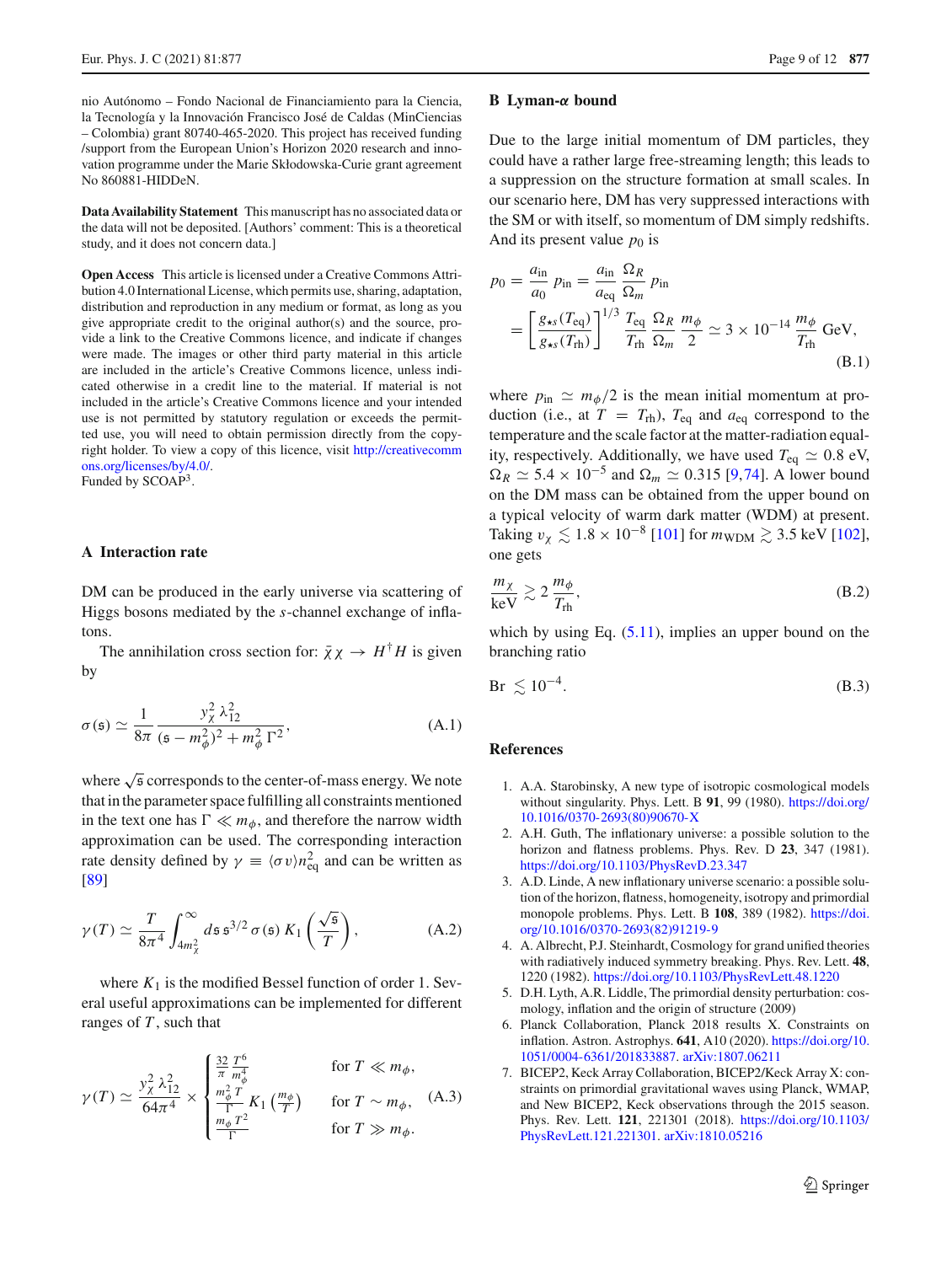<span id="page-8-6"></span>nio Autónomo – Fondo Nacional de Financiamiento para la Ciencia, la Tecnología y la Innovación Francisco José de Caldas (MinCiencias – Colombia) grant 80740-465-2020. This project has received funding /support from the European Union's Horizon 2020 research and innovation programme under the Marie Skłodowska-Curie grant agreement No 860881-HIDDeN.

**Data Availability Statement** This manuscript has no associated data or the data will not be deposited. [Authors' comment: This is a theoretical study, and it does not concern data.]

**Open Access** This article is licensed under a Creative Commons Attribution 4.0 International License, which permits use, sharing, adaptation, distribution and reproduction in any medium or format, as long as you give appropriate credit to the original author(s) and the source, provide a link to the Creative Commons licence, and indicate if changes were made. The images or other third party material in this article are included in the article's Creative Commons licence, unless indicated otherwise in a credit line to the material. If material is not included in the article's Creative Commons licence and your intended use is not permitted by statutory regulation or exceeds the permitted use, you will need to obtain permission directly from the copyright holder. To view a copy of this licence, visit [http://creativecomm](http://creativecommons.org/licenses/by/4.0/) [ons.org/licenses/by/4.0/.](http://creativecommons.org/licenses/by/4.0/)

Funded by SCOAP3.

### **A Interaction rate**

DM can be produced in the early universe via scattering of Higgs bosons mediated by the *s*-channel exchange of inflatons.

The annihilation cross section for:  $\bar{\chi}\chi \rightarrow H^{\dagger}H$  is given by

$$
\sigma(\mathfrak{s}) \simeq \frac{1}{8\pi} \frac{y_{\chi}^2 \lambda_{12}^2}{(\mathfrak{s} - m_{\phi}^2)^2 + m_{\phi}^2 \Gamma^2},
$$
\n(A.1)

where  $\sqrt{\frac{2}{5}}$  corresponds to the center-of-mass energy. We note that in the parameter space fulfilling all constraints mentioned in the text one has  $\Gamma \ll m_\phi$ , and therefore the narrow width approximation can be used. The corresponding interaction rate density defined by  $\gamma \equiv \langle \sigma v \rangle n_{\text{eq}}^2$  and can be written as [\[89](#page-11-5)]

$$
\gamma(T) \simeq \frac{T}{8\pi^4} \int_{4m_{\chi}^2}^{\infty} d\mathfrak{s} \mathfrak{s}^{3/2} \sigma(\mathfrak{s}) K_1\left(\frac{\sqrt{\mathfrak{s}}}{T}\right), \tag{A.2}
$$

where  $K_1$  is the modified Bessel function of order 1. Several useful approximations can be implemented for different ranges of *T* , such that

$$
\gamma(T) \simeq \frac{y_{\chi}^2 \lambda_{12}^2}{64\pi^4} \times \begin{cases} \frac{32}{\pi} \frac{T^6}{m_{\phi}^4} & \text{for } T \ll m_{\phi},\\ \frac{m_{\phi}^2 T}{\Gamma} K_1 \left(\frac{m_{\phi}}{T}\right) & \text{for } T \sim m_{\phi},\\ \frac{m_{\phi} T^2}{\Gamma} & \text{for } T \gg m_{\phi}. \end{cases} (A.3)
$$

#### **B Lyman-***α* **bound**

Due to the large initial momentum of DM particles, they could have a rather large free-streaming length; this leads to a suppression on the structure formation at small scales. In our scenario here, DM has very suppressed interactions with the SM or with itself, so momentum of DM simply redshifts. And its present value  $p_0$  is

$$
p_0 = \frac{a_{\rm in}}{a_0} p_{\rm in} = \frac{a_{\rm in}}{a_{\rm eq}} \frac{\Omega_R}{\Omega_m} p_{\rm in}
$$
  
= 
$$
\left[ \frac{g_{\star s} (T_{\rm eq})}{g_{\star s} (T_{\rm th})} \right]^{1/3} \frac{T_{\rm eq}}{T_{\rm rh}} \frac{\Omega_R}{\Omega_m} \frac{m_\phi}{2} \simeq 3 \times 10^{-14} \frac{m_\phi}{T_{\rm rh}} \text{ GeV},
$$
(B.1)

where  $p_{\text{in}} \simeq m_{\phi}/2$  is the mean initial momentum at production (i.e., at  $T = T_{\text{rh}}$ ),  $T_{\text{eq}}$  and  $a_{\text{eq}}$  correspond to the temperature and the scale factor at the matter-radiation equality, respectively. Additionally, we have used  $T_{eq} \simeq 0.8 \text{ eV}$ ,  $\Omega_R \simeq 5.4 \times 10^{-5}$  and  $\Omega_m \simeq 0.315$  [\[9](#page-9-1),[74\]](#page-10-21). A lower bound on the DM mass can be obtained from the upper bound on a typical velocity of warm dark matter (WDM) at present. Taking  $v_{\chi} \lesssim 1.8 \times 10^{-8}$  [\[101](#page-11-6)] for  $m_{\text{WDM}} \gtrsim 3.5$  keV [\[102](#page-11-7)], one gets

$$
\frac{m_{\chi}}{\text{keV}} \gtrsim 2 \frac{m_{\phi}}{T_{\text{rh}}},\tag{B.2}
$$

which by using Eq.  $(5.11)$ , implies an upper bound on the branching ratio

$$
\text{Br} \lesssim 10^{-4}.\tag{B.3}
$$

#### <span id="page-8-0"></span>**References**

- <span id="page-8-1"></span>1. A.A. Starobinsky, A new type of isotropic cosmological models without singularity. Phys. Lett. B **91**, 99 (1980). [https://doi.org/](https://doi.org/10.1016/0370-2693(80)90670-X) [10.1016/0370-2693\(80\)90670-X](https://doi.org/10.1016/0370-2693(80)90670-X)
- 2. A.H. Guth, The inflationary universe: a possible solution to the horizon and flatness problems. Phys. Rev. D **23**, 347 (1981). <https://doi.org/10.1103/PhysRevD.23.347>
- 3. A.D. Linde, A new inflationary universe scenario: a possible solution of the horizon, flatness, homogeneity, isotropy and primordial monopole problems. Phys. Lett. B **108**, 389 (1982). [https://doi.](https://doi.org/10.1016/0370-2693(82)91219-9) [org/10.1016/0370-2693\(82\)91219-9](https://doi.org/10.1016/0370-2693(82)91219-9)
- <span id="page-8-2"></span>4. A. Albrecht, P.J. Steinhardt, Cosmology for grand unified theories with radiatively induced symmetry breaking. Phys. Rev. Lett. **48**, 1220 (1982). <https://doi.org/10.1103/PhysRevLett.48.1220>
- <span id="page-8-3"></span>5. D.H. Lyth, A.R. Liddle, The primordial density perturbation: cosmology, inflation and the origin of structure (2009)
- <span id="page-8-4"></span>6. Planck Collaboration, Planck 2018 results X. Constraints on inflation. Astron. Astrophys. **641**, A10 (2020). [https://doi.org/10.](https://doi.org/10.1051/0004-6361/201833887) [1051/0004-6361/201833887.](https://doi.org/10.1051/0004-6361/201833887) [arXiv:1807.06211](http://arxiv.org/abs/1807.06211)
- <span id="page-8-5"></span>7. BICEP2, Keck Array Collaboration, BICEP2/Keck Array X: constraints on primordial gravitational waves using Planck, WMAP, and New BICEP2, Keck observations through the 2015 season. Phys. Rev. Lett. **121**, 221301 (2018). [https://doi.org/10.1103/](https://doi.org/10.1103/PhysRevLett.121.221301) [PhysRevLett.121.221301.](https://doi.org/10.1103/PhysRevLett.121.221301) [arXiv:1810.05216](http://arxiv.org/abs/1810.05216)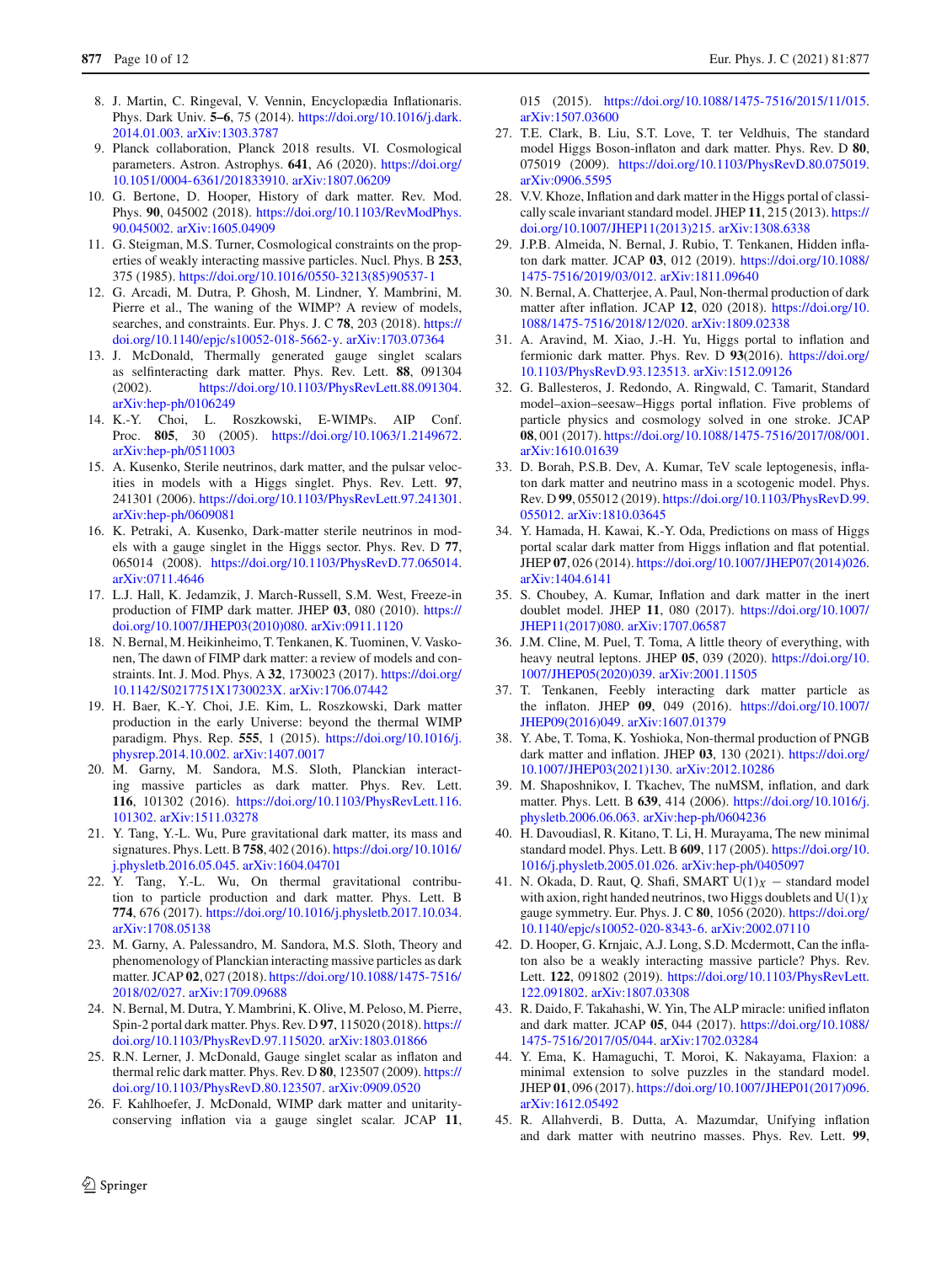- <span id="page-9-0"></span>8. J. Martin, C. Ringeval, V. Vennin, Encyclopædia Inflationaris. Phys. Dark Univ. **5–6**, 75 (2014). [https://doi.org/10.1016/j.dark.](https://doi.org/10.1016/j.dark.2014.01.003) [2014.01.003.](https://doi.org/10.1016/j.dark.2014.01.003) [arXiv:1303.3787](http://arxiv.org/abs/1303.3787)
- <span id="page-9-1"></span>9. Planck collaboration, Planck 2018 results. VI. Cosmological parameters. Astron. Astrophys. **641**, A6 (2020). [https://doi.org/](https://doi.org/10.1051/0004-6361/201833910) [10.1051/0004-6361/201833910.](https://doi.org/10.1051/0004-6361/201833910) [arXiv:1807.06209](http://arxiv.org/abs/1807.06209)
- <span id="page-9-2"></span>10. G. Bertone, D. Hooper, History of dark matter. Rev. Mod. Phys. **90**, 045002 (2018). [https://doi.org/10.1103/RevModPhys.](https://doi.org/10.1103/RevModPhys.90.045002) [90.045002.](https://doi.org/10.1103/RevModPhys.90.045002) [arXiv:1605.04909](http://arxiv.org/abs/1605.04909)
- <span id="page-9-3"></span>11. G. Steigman, M.S. Turner, Cosmological constraints on the properties of weakly interacting massive particles. Nucl. Phys. B **253**, 375 (1985). [https://doi.org/10.1016/0550-3213\(85\)90537-1](https://doi.org/10.1016/0550-3213(85)90537-1)
- <span id="page-9-4"></span>12. G. Arcadi, M. Dutra, P. Ghosh, M. Lindner, Y. Mambrini, M. Pierre et al., The waning of the WIMP? A review of models, searches, and constraints. Eur. Phys. J. C **78**, 203 (2018). [https://](https://doi.org/10.1140/epjc/s10052-018-5662-y) [doi.org/10.1140/epjc/s10052-018-5662-y.](https://doi.org/10.1140/epjc/s10052-018-5662-y) [arXiv:1703.07364](http://arxiv.org/abs/1703.07364)
- <span id="page-9-5"></span>13. J. McDonald, Thermally generated gauge singlet scalars as selfinteracting dark matter. Phys. Rev. Lett. **88**, 091304 (2002). [https://doi.org/10.1103/PhysRevLett.88.091304.](https://doi.org/10.1103/PhysRevLett.88.091304) [arXiv:hep-ph/0106249](http://arxiv.org/abs/hep-ph/0106249)
- 14. K.-Y. Choi, L. Roszkowski, E-WIMPs. AIP Conf. Proc. **805**, 30 (2005). [https://doi.org/10.1063/1.2149672.](https://doi.org/10.1063/1.2149672) [arXiv:hep-ph/0511003](http://arxiv.org/abs/hep-ph/0511003)
- 15. A. Kusenko, Sterile neutrinos, dark matter, and the pulsar velocities in models with a Higgs singlet. Phys. Rev. Lett. **97**, 241301 (2006). [https://doi.org/10.1103/PhysRevLett.97.241301.](https://doi.org/10.1103/PhysRevLett.97.241301) [arXiv:hep-ph/0609081](http://arxiv.org/abs/hep-ph/0609081)
- 16. K. Petraki, A. Kusenko, Dark-matter sterile neutrinos in models with a gauge singlet in the Higgs sector. Phys. Rev. D **77**, 065014 (2008). [https://doi.org/10.1103/PhysRevD.77.065014.](https://doi.org/10.1103/PhysRevD.77.065014) [arXiv:0711.4646](http://arxiv.org/abs/0711.4646)
- 17. L.J. Hall, K. Jedamzik, J. March-Russell, S.M. West, Freeze-in production of FIMP dark matter. JHEP **03**, 080 (2010). [https://](https://doi.org/10.1007/JHEP03(2010)080) [doi.org/10.1007/JHEP03\(2010\)080.](https://doi.org/10.1007/JHEP03(2010)080) [arXiv:0911.1120](http://arxiv.org/abs/0911.1120)
- <span id="page-9-6"></span>18. N. Bernal, M. Heikinheimo, T. Tenkanen, K. Tuominen, V. Vaskonen, The dawn of FIMP dark matter: a review of models and constraints. Int. J. Mod. Phys. A **32**, 1730023 (2017). [https://doi.org/](https://doi.org/10.1142/S0217751X1730023X) [10.1142/S0217751X1730023X.](https://doi.org/10.1142/S0217751X1730023X) [arXiv:1706.07442](http://arxiv.org/abs/1706.07442)
- <span id="page-9-7"></span>19. H. Baer, K.-Y. Choi, J.E. Kim, L. Roszkowski, Dark matter production in the early Universe: beyond the thermal WIMP paradigm. Phys. Rep. **555**, 1 (2015). [https://doi.org/10.1016/j.](https://doi.org/10.1016/j.physrep.2014.10.002) [physrep.2014.10.002.](https://doi.org/10.1016/j.physrep.2014.10.002) [arXiv:1407.0017](http://arxiv.org/abs/1407.0017)
- <span id="page-9-8"></span>20. M. Garny, M. Sandora, M.S. Sloth, Planckian interacting massive particles as dark matter. Phys. Rev. Lett. **116**, 101302 (2016). [https://doi.org/10.1103/PhysRevLett.116.](https://doi.org/10.1103/PhysRevLett.116.101302) [101302.](https://doi.org/10.1103/PhysRevLett.116.101302) [arXiv:1511.03278](http://arxiv.org/abs/1511.03278)
- 21. Y. Tang, Y.-L. Wu, Pure gravitational dark matter, its mass and signatures. Phys. Lett. B**758**, 402 (2016). [https://doi.org/10.1016/](https://doi.org/10.1016/j.physletb.2016.05.045) [j.physletb.2016.05.045.](https://doi.org/10.1016/j.physletb.2016.05.045) [arXiv:1604.04701](http://arxiv.org/abs/1604.04701)
- <span id="page-9-21"></span>22. Y. Tang, Y.-L. Wu, On thermal gravitational contribution to particle production and dark matter. Phys. Lett. B **774**, 676 (2017). [https://doi.org/10.1016/j.physletb.2017.10.034.](https://doi.org/10.1016/j.physletb.2017.10.034) [arXiv:1708.05138](http://arxiv.org/abs/1708.05138)
- <span id="page-9-22"></span>23. M. Garny, A. Palessandro, M. Sandora, M.S. Sloth, Theory and phenomenology of Planckian interacting massive particles as dark matter. JCAP **02**, 027 (2018). [https://doi.org/10.1088/1475-7516/](https://doi.org/10.1088/1475-7516/2018/02/027) [2018/02/027.](https://doi.org/10.1088/1475-7516/2018/02/027) [arXiv:1709.09688](http://arxiv.org/abs/1709.09688)
- <span id="page-9-9"></span>24. N. Bernal, M. Dutra, Y. Mambrini, K. Olive, M. Peloso, M. Pierre, Spin-2 portal dark matter. Phys. Rev. D **97**, 115020 (2018). [https://](https://doi.org/10.1103/PhysRevD.97.115020) [doi.org/10.1103/PhysRevD.97.115020.](https://doi.org/10.1103/PhysRevD.97.115020) [arXiv:1803.01866](http://arxiv.org/abs/1803.01866)
- <span id="page-9-10"></span>25. R.N. Lerner, J. McDonald, Gauge singlet scalar as inflaton and thermal relic dark matter. Phys. Rev. D **80**, 123507 (2009). [https://](https://doi.org/10.1103/PhysRevD.80.123507) [doi.org/10.1103/PhysRevD.80.123507.](https://doi.org/10.1103/PhysRevD.80.123507) [arXiv:0909.0520](http://arxiv.org/abs/0909.0520)
- <span id="page-9-11"></span>26. F. Kahlhoefer, J. McDonald, WIMP dark matter and unitarityconserving inflation via a gauge singlet scalar. JCAP **11**,

015 (2015). [https://doi.org/10.1088/1475-7516/2015/11/015.](https://doi.org/10.1088/1475-7516/2015/11/015) [arXiv:1507.03600](http://arxiv.org/abs/1507.03600)

- <span id="page-9-12"></span>27. T.E. Clark, B. Liu, S.T. Love, T. ter Veldhuis, The standard model Higgs Boson-inflaton and dark matter. Phys. Rev. D **80**, 075019 (2009). [https://doi.org/10.1103/PhysRevD.80.075019.](https://doi.org/10.1103/PhysRevD.80.075019) [arXiv:0906.5595](http://arxiv.org/abs/0906.5595)
- 28. V.V. Khoze, Inflation and dark matter in the Higgs portal of classically scale invariant standard model. JHEP **11**, 215 (2013). [https://](https://doi.org/10.1007/JHEP11(2013)215) [doi.org/10.1007/JHEP11\(2013\)215.](https://doi.org/10.1007/JHEP11(2013)215) [arXiv:1308.6338](http://arxiv.org/abs/1308.6338)
- 29. J.P.B. Almeida, N. Bernal, J. Rubio, T. Tenkanen, Hidden inflaton dark matter. JCAP **03**, 012 (2019). [https://doi.org/10.1088/](https://doi.org/10.1088/1475-7516/2019/03/012) [1475-7516/2019/03/012.](https://doi.org/10.1088/1475-7516/2019/03/012) [arXiv:1811.09640](http://arxiv.org/abs/1811.09640)
- 30. N. Bernal, A. Chatterjee, A. Paul, Non-thermal production of dark matter after inflation. JCAP **12**, 020 (2018). [https://doi.org/10.](https://doi.org/10.1088/1475-7516/2018/12/020) [1088/1475-7516/2018/12/020.](https://doi.org/10.1088/1475-7516/2018/12/020) [arXiv:1809.02338](http://arxiv.org/abs/1809.02338)
- 31. A. Aravind, M. Xiao, J.-H. Yu, Higgs portal to inflation and fermionic dark matter. Phys. Rev. D **93**(2016). [https://doi.org/](https://doi.org/10.1103/PhysRevD.93.123513) [10.1103/PhysRevD.93.123513.](https://doi.org/10.1103/PhysRevD.93.123513) [arXiv:1512.09126](http://arxiv.org/abs/1512.09126)
- 32. G. Ballesteros, J. Redondo, A. Ringwald, C. Tamarit, Standard model–axion–seesaw–Higgs portal inflation. Five problems of particle physics and cosmology solved in one stroke. JCAP **08**, 001 (2017). [https://doi.org/10.1088/1475-7516/2017/08/001.](https://doi.org/10.1088/1475-7516/2017/08/001) [arXiv:1610.01639](http://arxiv.org/abs/1610.01639)
- 33. D. Borah, P.S.B. Dev, A. Kumar, TeV scale leptogenesis, inflaton dark matter and neutrino mass in a scotogenic model. Phys. Rev. D **99**, 055012 (2019). [https://doi.org/10.1103/PhysRevD.99.](https://doi.org/10.1103/PhysRevD.99.055012) [055012.](https://doi.org/10.1103/PhysRevD.99.055012) [arXiv:1810.03645](http://arxiv.org/abs/1810.03645)
- 34. Y. Hamada, H. Kawai, K.-Y. Oda, Predictions on mass of Higgs portal scalar dark matter from Higgs inflation and flat potential. JHEP **07**, 026 (2014). [https://doi.org/10.1007/JHEP07\(2014\)026.](https://doi.org/10.1007/JHEP07(2014)026) [arXiv:1404.6141](http://arxiv.org/abs/1404.6141)
- 35. S. Choubey, A. Kumar, Inflation and dark matter in the inert doublet model. JHEP **11**, 080 (2017). [https://doi.org/10.1007/](https://doi.org/10.1007/JHEP11(2017)080) [JHEP11\(2017\)080.](https://doi.org/10.1007/JHEP11(2017)080) [arXiv:1707.06587](http://arxiv.org/abs/1707.06587)
- 36. J.M. Cline, M. Puel, T. Toma, A little theory of everything, with heavy neutral leptons. JHEP **05**, 039 (2020). [https://doi.org/10.](https://doi.org/10.1007/JHEP05(2020)039) [1007/JHEP05\(2020\)039.](https://doi.org/10.1007/JHEP05(2020)039) [arXiv:2001.11505](http://arxiv.org/abs/2001.11505)
- 37. T. Tenkanen, Feebly interacting dark matter particle as the inflaton. JHEP **09**, 049 (2016). [https://doi.org/10.1007/](https://doi.org/10.1007/JHEP09(2016)049) [JHEP09\(2016\)049.](https://doi.org/10.1007/JHEP09(2016)049) [arXiv:1607.01379](http://arxiv.org/abs/1607.01379)
- <span id="page-9-13"></span>38. Y. Abe, T. Toma, K. Yoshioka, Non-thermal production of PNGB dark matter and inflation. JHEP **03**, 130 (2021). [https://doi.org/](https://doi.org/10.1007/JHEP03(2021)130) [10.1007/JHEP03\(2021\)130.](https://doi.org/10.1007/JHEP03(2021)130) [arXiv:2012.10286](http://arxiv.org/abs/2012.10286)
- <span id="page-9-14"></span>39. M. Shaposhnikov, I. Tkachev, The nuMSM, inflation, and dark matter. Phys. Lett. B **639**, 414 (2006). [https://doi.org/10.1016/j.](https://doi.org/10.1016/j.physletb.2006.06.063) [physletb.2006.06.063.](https://doi.org/10.1016/j.physletb.2006.06.063) [arXiv:hep-ph/0604236](http://arxiv.org/abs/hep-ph/0604236)
- <span id="page-9-15"></span>40. H. Davoudiasl, R. Kitano, T. Li, H. Murayama, The new minimal standard model. Phys. Lett. B **609**, 117 (2005). [https://doi.org/10.](https://doi.org/10.1016/j.physletb.2005.01.026) [1016/j.physletb.2005.01.026.](https://doi.org/10.1016/j.physletb.2005.01.026) [arXiv:hep-ph/0405097](http://arxiv.org/abs/hep-ph/0405097)
- <span id="page-9-16"></span>41. N. Okada, D. Raut, Q. Shafi, SMART  $U(1)_X$  – standard model with axion, right handed neutrinos, two Higgs doublets and  $U(1)_X$ gauge symmetry. Eur. Phys. J. C **80**, 1056 (2020). [https://doi.org/](https://doi.org/10.1140/epjc/s10052-020-8343-6) [10.1140/epjc/s10052-020-8343-6.](https://doi.org/10.1140/epjc/s10052-020-8343-6) [arXiv:2002.07110](http://arxiv.org/abs/2002.07110)
- <span id="page-9-17"></span>42. D. Hooper, G. Krnjaic, A.J. Long, S.D. Mcdermott, Can the inflaton also be a weakly interacting massive particle? Phys. Rev. Lett. **122**, 091802 (2019). [https://doi.org/10.1103/PhysRevLett.](https://doi.org/10.1103/PhysRevLett.122.091802) [122.091802.](https://doi.org/10.1103/PhysRevLett.122.091802) [arXiv:1807.03308](http://arxiv.org/abs/1807.03308)
- <span id="page-9-18"></span>43. R. Daido, F. Takahashi, W. Yin, The ALP miracle: unified inflaton and dark matter. JCAP **05**, 044 (2017). [https://doi.org/10.1088/](https://doi.org/10.1088/1475-7516/2017/05/044) [1475-7516/2017/05/044.](https://doi.org/10.1088/1475-7516/2017/05/044) [arXiv:1702.03284](http://arxiv.org/abs/1702.03284)
- <span id="page-9-19"></span>44. Y. Ema, K. Hamaguchi, T. Moroi, K. Nakayama, Flaxion: a minimal extension to solve puzzles in the standard model. JHEP **01**, 096 (2017). [https://doi.org/10.1007/JHEP01\(2017\)096.](https://doi.org/10.1007/JHEP01(2017)096) [arXiv:1612.05492](http://arxiv.org/abs/1612.05492)
- <span id="page-9-20"></span>45. R. Allahverdi, B. Dutta, A. Mazumdar, Unifying inflation and dark matter with neutrino masses. Phys. Rev. Lett. **99**,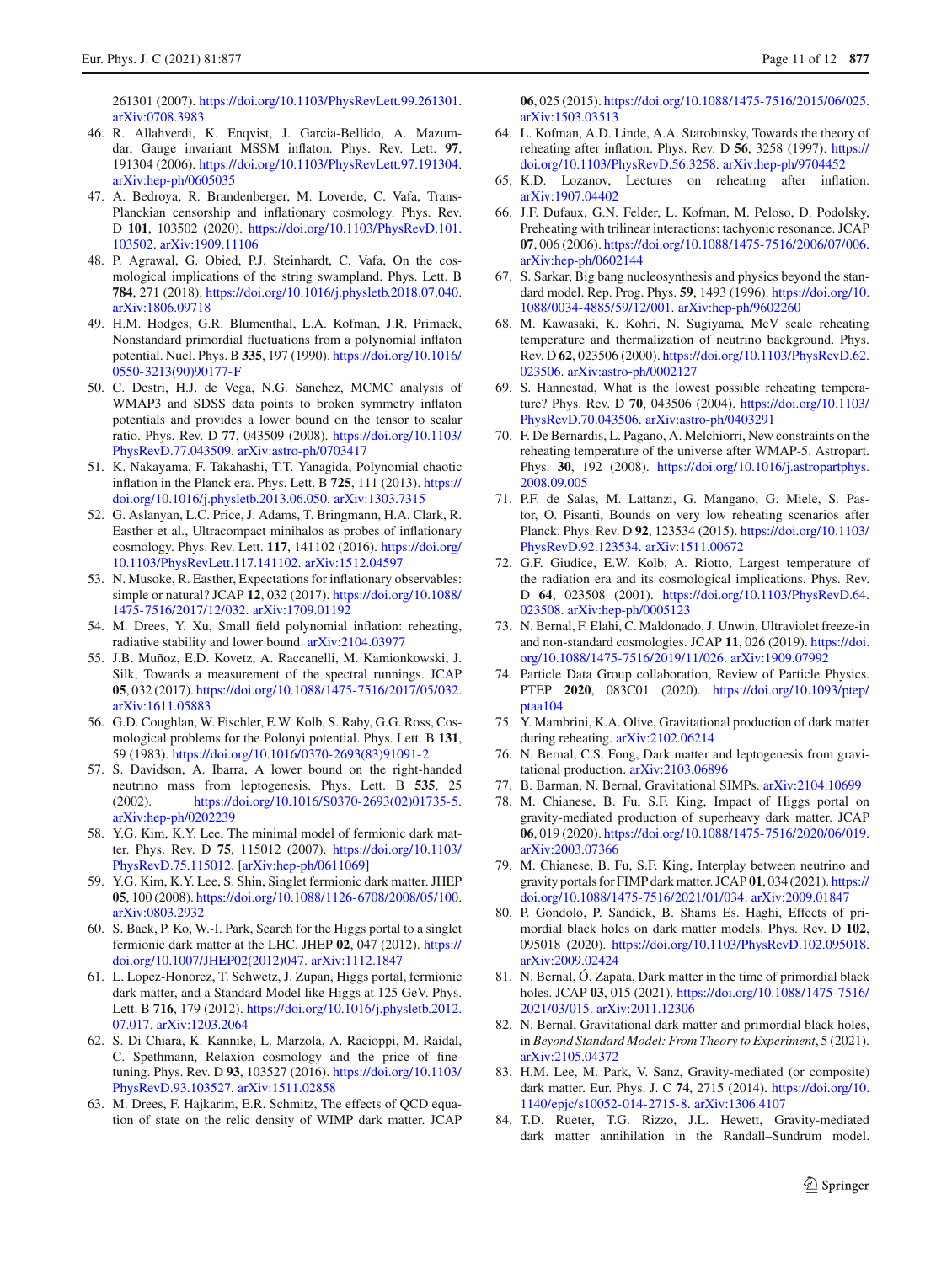261301 (2007). [https://doi.org/10.1103/PhysRevLett.99.261301.](https://doi.org/10.1103/PhysRevLett.99.261301) [arXiv:0708.3983](http://arxiv.org/abs/0708.3983)

- <span id="page-10-0"></span>46. R. Allahverdi, K. Enqvist, J. Garcia-Bellido, A. Mazumdar, Gauge invariant MSSM inflaton. Phys. Rev. Lett. **97**, 191304 (2006). [https://doi.org/10.1103/PhysRevLett.97.191304.](https://doi.org/10.1103/PhysRevLett.97.191304) [arXiv:hep-ph/0605035](http://arxiv.org/abs/hep-ph/0605035)
- <span id="page-10-1"></span>47. A. Bedroya, R. Brandenberger, M. Loverde, C. Vafa, Trans-Planckian censorship and inflationary cosmology. Phys. Rev. D **101**, 103502 (2020). [https://doi.org/10.1103/PhysRevD.101.](https://doi.org/10.1103/PhysRevD.101.103502) [103502.](https://doi.org/10.1103/PhysRevD.101.103502) [arXiv:1909.11106](http://arxiv.org/abs/1909.11106)
- <span id="page-10-2"></span>48. P. Agrawal, G. Obied, P.J. Steinhardt, C. Vafa, On the cosmological implications of the string swampland. Phys. Lett. B **784**, 271 (2018). [https://doi.org/10.1016/j.physletb.2018.07.040.](https://doi.org/10.1016/j.physletb.2018.07.040) [arXiv:1806.09718](http://arxiv.org/abs/1806.09718)
- <span id="page-10-3"></span>49. H.M. Hodges, G.R. Blumenthal, L.A. Kofman, J.R. Primack, Nonstandard primordial fluctuations from a polynomial inflaton potential. Nucl. Phys. B **335**, 197 (1990). [https://doi.org/10.1016/](https://doi.org/10.1016/0550-3213(90)90177-F) [0550-3213\(90\)90177-F](https://doi.org/10.1016/0550-3213(90)90177-F)
- 50. C. Destri, H.J. de Vega, N.G. Sanchez, MCMC analysis of WMAP3 and SDSS data points to broken symmetry inflaton potentials and provides a lower bound on the tensor to scalar ratio. Phys. Rev. D **77**, 043509 (2008). [https://doi.org/10.1103/](https://doi.org/10.1103/PhysRevD.77.043509) [PhysRevD.77.043509.](https://doi.org/10.1103/PhysRevD.77.043509) [arXiv:astro-ph/0703417](http://arxiv.org/abs/astro-ph/0703417)
- 51. K. Nakayama, F. Takahashi, T.T. Yanagida, Polynomial chaotic inflation in the Planck era. Phys. Lett. B **725**, 111 (2013). [https://](https://doi.org/10.1016/j.physletb.2013.06.050) [doi.org/10.1016/j.physletb.2013.06.050.](https://doi.org/10.1016/j.physletb.2013.06.050) [arXiv:1303.7315](http://arxiv.org/abs/1303.7315)
- 52. G. Aslanyan, L.C. Price, J. Adams, T. Bringmann, H.A. Clark, R. Easther et al., Ultracompact minihalos as probes of inflationary cosmology. Phys. Rev. Lett. **117**, 141102 (2016). [https://doi.org/](https://doi.org/10.1103/PhysRevLett.117.141102) [10.1103/PhysRevLett.117.141102.](https://doi.org/10.1103/PhysRevLett.117.141102) [arXiv:1512.04597](http://arxiv.org/abs/1512.04597)
- <span id="page-10-4"></span>53. N. Musoke, R. Easther, Expectations for inflationary observables: simple or natural? JCAP **12**, 032 (2017). [https://doi.org/10.1088/](https://doi.org/10.1088/1475-7516/2017/12/032) [1475-7516/2017/12/032.](https://doi.org/10.1088/1475-7516/2017/12/032) [arXiv:1709.01192](http://arxiv.org/abs/1709.01192)
- <span id="page-10-5"></span>54. M. Drees, Y. Xu, Small field polynomial inflation: reheating, radiative stability and lower bound. [arXiv:2104.03977](http://arxiv.org/abs/2104.03977)
- <span id="page-10-6"></span>55. J.B. Muñoz, E.D. Kovetz, A. Raccanelli, M. Kamionkowski, J. Silk, Towards a measurement of the spectral runnings. JCAP **05**, 032 (2017). [https://doi.org/10.1088/1475-7516/2017/05/032.](https://doi.org/10.1088/1475-7516/2017/05/032) [arXiv:1611.05883](http://arxiv.org/abs/1611.05883)
- <span id="page-10-7"></span>56. G.D. Coughlan, W. Fischler, E.W. Kolb, S. Raby, G.G. Ross, Cosmological problems for the Polonyi potential. Phys. Lett. B **131**, 59 (1983). [https://doi.org/10.1016/0370-2693\(83\)91091-2](https://doi.org/10.1016/0370-2693(83)91091-2)
- <span id="page-10-8"></span>57. S. Davidson, A. Ibarra, A lower bound on the right-handed neutrino mass from leptogenesis. Phys. Lett. B **535**, 25 (2002). [https://doi.org/10.1016/S0370-2693\(02\)01735-5.](https://doi.org/10.1016/S0370-2693(02)01735-5) [arXiv:hep-ph/0202239](http://arxiv.org/abs/hep-ph/0202239)
- <span id="page-10-9"></span>58. Y.G. Kim, K.Y. Lee, The minimal model of fermionic dark matter. Phys. Rev. D **75**, 115012 (2007). [https://doi.org/10.1103/](https://doi.org/10.1103/PhysRevD.75.115012) [PhysRevD.75.115012.](https://doi.org/10.1103/PhysRevD.75.115012) [\[arXiv:hep-ph/0611069\]](http://arxiv.org/abs/hep-ph/0611069)
- <span id="page-10-10"></span>59. Y.G. Kim, K.Y. Lee, S. Shin, Singlet fermionic dark matter. JHEP **05**, 100 (2008). [https://doi.org/10.1088/1126-6708/2008/05/100.](https://doi.org/10.1088/1126-6708/2008/05/100) [arXiv:0803.2932](http://arxiv.org/abs/0803.2932)
- 60. S. Baek, P. Ko, W.-I. Park, Search for the Higgs portal to a singlet fermionic dark matter at the LHC. JHEP **02**, 047 (2012). [https://](https://doi.org/10.1007/JHEP02(2012)047) [doi.org/10.1007/JHEP02\(2012\)047.](https://doi.org/10.1007/JHEP02(2012)047) [arXiv:1112.1847](http://arxiv.org/abs/1112.1847)
- <span id="page-10-11"></span>61. L. Lopez-Honorez, T. Schwetz, J. Zupan, Higgs portal, fermionic dark matter, and a Standard Model like Higgs at 125 GeV. Phys. Lett. B **716**, 179 (2012). [https://doi.org/10.1016/j.physletb.2012.](https://doi.org/10.1016/j.physletb.2012.07.017) [07.017.](https://doi.org/10.1016/j.physletb.2012.07.017) [arXiv:1203.2064](http://arxiv.org/abs/1203.2064)
- <span id="page-10-12"></span>62. S. Di Chiara, K. Kannike, L. Marzola, A. Racioppi, M. Raidal, C. Spethmann, Relaxion cosmology and the price of finetuning. Phys. Rev. D **93**, 103527 (2016). [https://doi.org/10.1103/](https://doi.org/10.1103/PhysRevD.93.103527) [PhysRevD.93.103527.](https://doi.org/10.1103/PhysRevD.93.103527) [arXiv:1511.02858](http://arxiv.org/abs/1511.02858)
- <span id="page-10-20"></span>63. M. Drees, F. Hajkarim, E.R. Schmitz, The effects of QCD equation of state on the relic density of WIMP dark matter. JCAP

**06**, 025 (2015). [https://doi.org/10.1088/1475-7516/2015/06/025.](https://doi.org/10.1088/1475-7516/2015/06/025) [arXiv:1503.03513](http://arxiv.org/abs/1503.03513)

- <span id="page-10-13"></span>64. L. Kofman, A.D. Linde, A.A. Starobinsky, Towards the theory of reheating after inflation. Phys. Rev. D **56**, 3258 (1997). [https://](https://doi.org/10.1103/PhysRevD.56.3258) [doi.org/10.1103/PhysRevD.56.3258.](https://doi.org/10.1103/PhysRevD.56.3258) [arXiv:hep-ph/9704452](http://arxiv.org/abs/hep-ph/9704452)
- <span id="page-10-14"></span>65. K.D. Lozanov, Lectures on reheating after inflation. [arXiv:1907.04402](http://arxiv.org/abs/1907.04402)
- <span id="page-10-15"></span>66. J.F. Dufaux, G.N. Felder, L. Kofman, M. Peloso, D. Podolsky, Preheating with trilinear interactions: tachyonic resonance. JCAP **07**, 006 (2006). [https://doi.org/10.1088/1475-7516/2006/07/006.](https://doi.org/10.1088/1475-7516/2006/07/006) [arXiv:hep-ph/0602144](http://arxiv.org/abs/hep-ph/0602144)
- <span id="page-10-16"></span>67. S. Sarkar, Big bang nucleosynthesis and physics beyond the standard model. Rep. Prog. Phys. **59**, 1493 (1996). [https://doi.org/10.](https://doi.org/10.1088/0034-4885/59/12/001) [1088/0034-4885/59/12/001.](https://doi.org/10.1088/0034-4885/59/12/001) [arXiv:hep-ph/9602260](http://arxiv.org/abs/hep-ph/9602260)
- 68. M. Kawasaki, K. Kohri, N. Sugiyama, MeV scale reheating temperature and thermalization of neutrino background. Phys. Rev. D **62**, 023506 (2000). [https://doi.org/10.1103/PhysRevD.62.](https://doi.org/10.1103/PhysRevD.62.023506) [023506.](https://doi.org/10.1103/PhysRevD.62.023506) [arXiv:astro-ph/0002127](http://arxiv.org/abs/astro-ph/0002127)
- 69. S. Hannestad, What is the lowest possible reheating temperature? Phys. Rev. D **70**, 043506 (2004). [https://doi.org/10.1103/](https://doi.org/10.1103/PhysRevD.70.043506) [PhysRevD.70.043506.](https://doi.org/10.1103/PhysRevD.70.043506) [arXiv:astro-ph/0403291](http://arxiv.org/abs/astro-ph/0403291)
- 70. F. De Bernardis, L. Pagano, A. Melchiorri, New constraints on the reheating temperature of the universe after WMAP-5. Astropart. Phys. **30**, 192 (2008). [https://doi.org/10.1016/j.astropartphys.](https://doi.org/10.1016/j.astropartphys.2008.09.005) [2008.09.005](https://doi.org/10.1016/j.astropartphys.2008.09.005)
- <span id="page-10-17"></span>71. P.F. de Salas, M. Lattanzi, G. Mangano, G. Miele, S. Pastor, O. Pisanti, Bounds on very low reheating scenarios after Planck. Phys. Rev. D **92**, 123534 (2015). [https://doi.org/10.1103/](https://doi.org/10.1103/PhysRevD.92.123534) [PhysRevD.92.123534.](https://doi.org/10.1103/PhysRevD.92.123534) [arXiv:1511.00672](http://arxiv.org/abs/1511.00672)
- <span id="page-10-18"></span>72. G.F. Giudice, E.W. Kolb, A. Riotto, Largest temperature of the radiation era and its cosmological implications. Phys. Rev. D **64**, 023508 (2001). [https://doi.org/10.1103/PhysRevD.64.](https://doi.org/10.1103/PhysRevD.64.023508) [023508.](https://doi.org/10.1103/PhysRevD.64.023508) [arXiv:hep-ph/0005123](http://arxiv.org/abs/hep-ph/0005123)
- <span id="page-10-19"></span>73. N. Bernal, F. Elahi, C. Maldonado, J. Unwin, Ultraviolet freeze-in and non-standard cosmologies. JCAP **11**, 026 (2019). [https://doi.](https://doi.org/10.1088/1475-7516/2019/11/026) [org/10.1088/1475-7516/2019/11/026.](https://doi.org/10.1088/1475-7516/2019/11/026) [arXiv:1909.07992](http://arxiv.org/abs/1909.07992)
- <span id="page-10-21"></span>74. Particle Data Group collaboration, Review of Particle Physics. PTEP **2020**, 083C01 (2020). [https://doi.org/10.1093/ptep/](https://doi.org/10.1093/ptep/ptaa104) [ptaa104](https://doi.org/10.1093/ptep/ptaa104)
- <span id="page-10-22"></span>75. Y. Mambrini, K.A. Olive, Gravitational production of dark matter during reheating. [arXiv:2102.06214](http://arxiv.org/abs/2102.06214)
- 76. N. Bernal, C.S. Fong, Dark matter and leptogenesis from gravitational production. [arXiv:2103.06896](http://arxiv.org/abs/2103.06896)
- <span id="page-10-23"></span>77. B. Barman, N. Bernal, Gravitational SIMPs. [arXiv:2104.10699](http://arxiv.org/abs/2104.10699)
- <span id="page-10-24"></span>78. M. Chianese, B. Fu, S.F. King, Impact of Higgs portal on gravity-mediated production of superheavy dark matter. JCAP **06**, 019 (2020). [https://doi.org/10.1088/1475-7516/2020/06/019.](https://doi.org/10.1088/1475-7516/2020/06/019) [arXiv:2003.07366](http://arxiv.org/abs/2003.07366)
- 79. M. Chianese, B. Fu, S.F. King, Interplay between neutrino and gravity portals for FIMP dark matter. JCAP **01**, 034 (2021). [https://](https://doi.org/10.1088/1475-7516/2021/01/034) [doi.org/10.1088/1475-7516/2021/01/034.](https://doi.org/10.1088/1475-7516/2021/01/034) [arXiv:2009.01847](http://arxiv.org/abs/2009.01847)
- 80. P. Gondolo, P. Sandick, B. Shams Es. Haghi, Effects of primordial black holes on dark matter models. Phys. Rev. D **102**, 095018 (2020). [https://doi.org/10.1103/PhysRevD.102.095018.](https://doi.org/10.1103/PhysRevD.102.095018) [arXiv:2009.02424](http://arxiv.org/abs/2009.02424)
- 81. N. Bernal, Ó. Zapata, Dark matter in the time of primordial black holes. JCAP **03**, 015 (2021). [https://doi.org/10.1088/1475-7516/](https://doi.org/10.1088/1475-7516/2021/03/015) [2021/03/015.](https://doi.org/10.1088/1475-7516/2021/03/015) [arXiv:2011.12306](http://arxiv.org/abs/2011.12306)
- <span id="page-10-25"></span>82. N. Bernal, Gravitational dark matter and primordial black holes, in *Beyond Standard Model: From Theory to Experiment*, 5 (2021). [arXiv:2105.04372](http://arxiv.org/abs/2105.04372)
- <span id="page-10-26"></span>83. H.M. Lee, M. Park, V. Sanz, Gravity-mediated (or composite) dark matter. Eur. Phys. J. C **74**, 2715 (2014). [https://doi.org/10.](https://doi.org/10.1140/epjc/s10052-014-2715-8) [1140/epjc/s10052-014-2715-8.](https://doi.org/10.1140/epjc/s10052-014-2715-8) [arXiv:1306.4107](http://arxiv.org/abs/1306.4107)
- 84. T.D. Rueter, T.G. Rizzo, J.L. Hewett, Gravity-mediated dark matter annihilation in the Randall–Sundrum model.